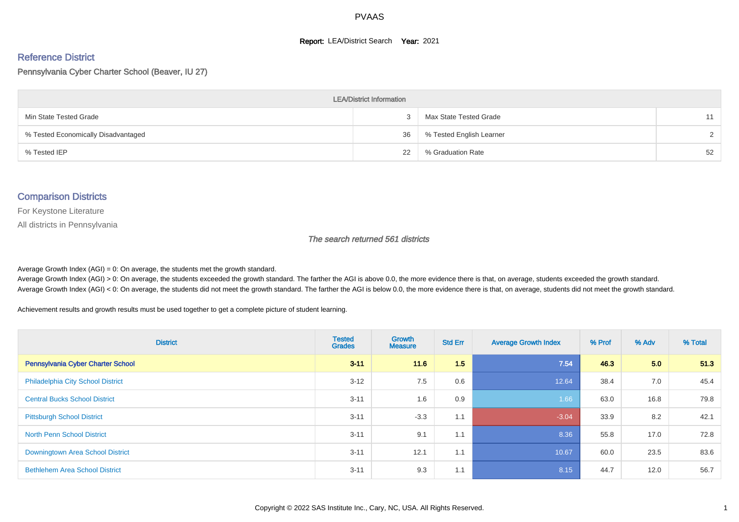#### **Report: LEA/District Search Year: 2021**

# Reference District

Pennsylvania Cyber Charter School (Beaver, IU 27)

| <b>LEA/District Information</b>     |    |                          |               |  |  |  |  |  |  |  |
|-------------------------------------|----|--------------------------|---------------|--|--|--|--|--|--|--|
| Min State Tested Grade              |    | Max State Tested Grade   | 11            |  |  |  |  |  |  |  |
| % Tested Economically Disadvantaged | 36 | % Tested English Learner | $\mathcal{D}$ |  |  |  |  |  |  |  |
| % Tested IEP                        | 22 | % Graduation Rate        | 52            |  |  |  |  |  |  |  |

#### Comparison Districts

For Keystone Literature

All districts in Pennsylvania

The search returned 561 districts

Average Growth Index  $(AGI) = 0$ : On average, the students met the growth standard.

Average Growth Index (AGI) > 0: On average, the students exceeded the growth standard. The farther the AGI is above 0.0, the more evidence there is that, on average, students exceeded the growth standard. Average Growth Index (AGI) < 0: On average, the students did not meet the growth standard. The farther the AGI is below 0.0, the more evidence there is that, on average, students did not meet the growth standard.

Achievement results and growth results must be used together to get a complete picture of student learning.

| <b>District</b>                          | <b>Tested</b><br><b>Grades</b> | <b>Growth</b><br><b>Measure</b> | <b>Std Err</b> | <b>Average Growth Index</b> | % Prof | % Adv | % Total |
|------------------------------------------|--------------------------------|---------------------------------|----------------|-----------------------------|--------|-------|---------|
| Pennsylvania Cyber Charter School        | $3 - 11$                       | 11.6                            | 1.5            | 7.54                        | 46.3   | 5.0   | 51.3    |
| <b>Philadelphia City School District</b> | $3 - 12$                       | 7.5                             | 0.6            | 12.64                       | 38.4   | 7.0   | 45.4    |
| <b>Central Bucks School District</b>     | $3 - 11$                       | 1.6                             | 0.9            | 1.66                        | 63.0   | 16.8  | 79.8    |
| <b>Pittsburgh School District</b>        | $3 - 11$                       | $-3.3$                          | 1.1            | $-3.04$                     | 33.9   | 8.2   | 42.1    |
| <b>North Penn School District</b>        | $3 - 11$                       | 9.1                             | 1.1            | 8.36                        | 55.8   | 17.0  | 72.8    |
| Downingtown Area School District         | $3 - 11$                       | 12.1                            | 1.1            | 10.67                       | 60.0   | 23.5  | 83.6    |
| <b>Bethlehem Area School District</b>    | $3 - 11$                       | 9.3                             | 1.1            | 8.15                        | 44.7   | 12.0  | 56.7    |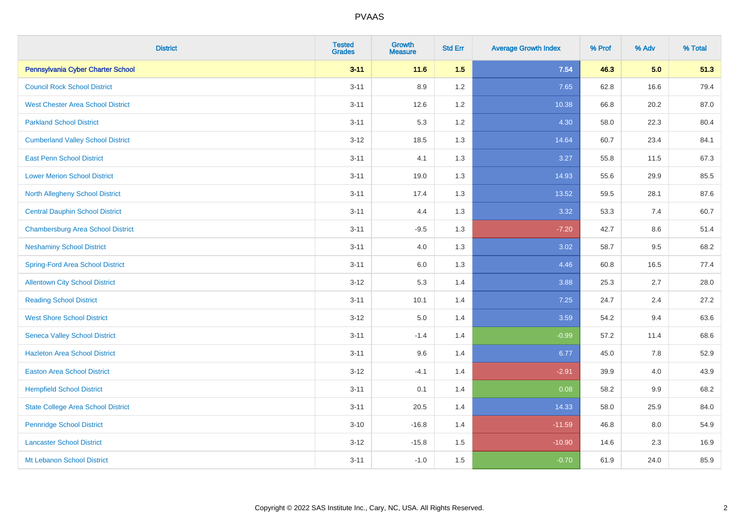| <b>District</b>                           | <b>Tested</b><br><b>Grades</b> | <b>Growth</b><br><b>Measure</b> | <b>Std Err</b> | <b>Average Growth Index</b> | % Prof | % Adv   | % Total |
|-------------------------------------------|--------------------------------|---------------------------------|----------------|-----------------------------|--------|---------|---------|
| Pennsylvania Cyber Charter School         | $3 - 11$                       | $11.6$                          | 1.5            | 7.54                        | 46.3   | 5.0     | 51.3    |
| <b>Council Rock School District</b>       | $3 - 11$                       | 8.9                             | 1.2            | 7.65                        | 62.8   | 16.6    | 79.4    |
| <b>West Chester Area School District</b>  | $3 - 11$                       | 12.6                            | 1.2            | 10.38                       | 66.8   | 20.2    | 87.0    |
| <b>Parkland School District</b>           | $3 - 11$                       | 5.3                             | 1.2            | 4.30                        | 58.0   | 22.3    | 80.4    |
| <b>Cumberland Valley School District</b>  | $3 - 12$                       | 18.5                            | 1.3            | 14.64                       | 60.7   | 23.4    | 84.1    |
| <b>East Penn School District</b>          | $3 - 11$                       | 4.1                             | 1.3            | 3.27                        | 55.8   | 11.5    | 67.3    |
| <b>Lower Merion School District</b>       | $3 - 11$                       | 19.0                            | 1.3            | 14.93                       | 55.6   | 29.9    | 85.5    |
| <b>North Allegheny School District</b>    | $3 - 11$                       | 17.4                            | 1.3            | 13.52                       | 59.5   | 28.1    | 87.6    |
| <b>Central Dauphin School District</b>    | $3 - 11$                       | 4.4                             | 1.3            | 3.32                        | 53.3   | 7.4     | 60.7    |
| <b>Chambersburg Area School District</b>  | $3 - 11$                       | $-9.5$                          | 1.3            | $-7.20$                     | 42.7   | 8.6     | 51.4    |
| <b>Neshaminy School District</b>          | $3 - 11$                       | 4.0                             | 1.3            | 3.02                        | 58.7   | 9.5     | 68.2    |
| <b>Spring-Ford Area School District</b>   | $3 - 11$                       | $6.0\,$                         | 1.3            | 4.46                        | 60.8   | 16.5    | 77.4    |
| <b>Allentown City School District</b>     | $3 - 12$                       | 5.3                             | 1.4            | 3.88                        | 25.3   | 2.7     | 28.0    |
| <b>Reading School District</b>            | $3 - 11$                       | 10.1                            | 1.4            | 7.25                        | 24.7   | 2.4     | 27.2    |
| <b>West Shore School District</b>         | $3 - 12$                       | $5.0\,$                         | 1.4            | 3.59                        | 54.2   | 9.4     | 63.6    |
| <b>Seneca Valley School District</b>      | $3 - 11$                       | $-1.4$                          | 1.4            | $-0.99$                     | 57.2   | 11.4    | 68.6    |
| <b>Hazleton Area School District</b>      | $3 - 11$                       | 9.6                             | 1.4            | 6.77                        | 45.0   | 7.8     | 52.9    |
| <b>Easton Area School District</b>        | $3 - 12$                       | $-4.1$                          | 1.4            | $-2.91$                     | 39.9   | 4.0     | 43.9    |
| <b>Hempfield School District</b>          | $3 - 11$                       | 0.1                             | 1.4            | 0.08                        | 58.2   | $9.9\,$ | 68.2    |
| <b>State College Area School District</b> | $3 - 11$                       | 20.5                            | 1.4            | 14.33                       | 58.0   | 25.9    | 84.0    |
| <b>Pennridge School District</b>          | $3 - 10$                       | $-16.8$                         | 1.4            | $-11.59$                    | 46.8   | 8.0     | 54.9    |
| <b>Lancaster School District</b>          | $3 - 12$                       | $-15.8$                         | 1.5            | $-10.90$                    | 14.6   | 2.3     | 16.9    |
| Mt Lebanon School District                | $3 - 11$                       | $-1.0$                          | 1.5            | $-0.70$                     | 61.9   | 24.0    | 85.9    |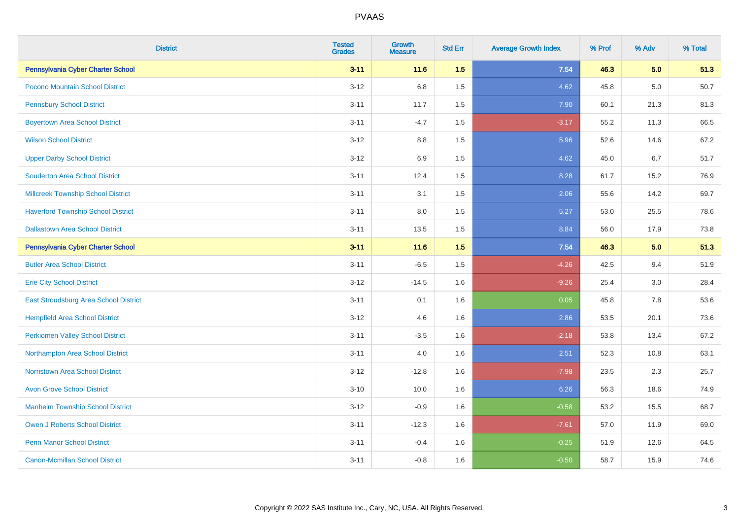| <b>District</b>                              | <b>Tested</b><br><b>Grades</b> | <b>Growth</b><br><b>Measure</b> | <b>Std Err</b> | <b>Average Growth Index</b> | % Prof | % Adv | % Total |
|----------------------------------------------|--------------------------------|---------------------------------|----------------|-----------------------------|--------|-------|---------|
| Pennsylvania Cyber Charter School            | $3 - 11$                       | 11.6                            | 1.5            | 7.54                        | 46.3   | 5.0   | 51.3    |
| Pocono Mountain School District              | $3 - 12$                       | 6.8                             | 1.5            | 4.62                        | 45.8   | 5.0   | 50.7    |
| <b>Pennsbury School District</b>             | $3 - 11$                       | 11.7                            | 1.5            | 7.90                        | 60.1   | 21.3  | 81.3    |
| <b>Boyertown Area School District</b>        | $3 - 11$                       | $-4.7$                          | 1.5            | $-3.17$                     | 55.2   | 11.3  | 66.5    |
| <b>Wilson School District</b>                | $3 - 12$                       | 8.8                             | 1.5            | 5.96                        | 52.6   | 14.6  | 67.2    |
| <b>Upper Darby School District</b>           | $3 - 12$                       | $6.9\,$                         | 1.5            | 4.62                        | 45.0   | 6.7   | 51.7    |
| <b>Souderton Area School District</b>        | $3 - 11$                       | 12.4                            | 1.5            | 8.28                        | 61.7   | 15.2  | 76.9    |
| <b>Millcreek Township School District</b>    | $3 - 11$                       | 3.1                             | 1.5            | 2.06                        | 55.6   | 14.2  | 69.7    |
| <b>Haverford Township School District</b>    | $3 - 11$                       | 8.0                             | 1.5            | 5.27                        | 53.0   | 25.5  | 78.6    |
| <b>Dallastown Area School District</b>       | $3 - 11$                       | 13.5                            | 1.5            | 8.84                        | 56.0   | 17.9  | 73.8    |
| Pennsylvania Cyber Charter School            | $3 - 11$                       | 11.6                            | 1.5            | 7.54                        | 46.3   | 5.0   | 51.3    |
| <b>Butler Area School District</b>           | $3 - 11$                       | $-6.5$                          | 1.5            | $-4.26$                     | 42.5   | 9.4   | 51.9    |
| <b>Erie City School District</b>             | $3 - 12$                       | $-14.5$                         | 1.6            | $-9.26$                     | 25.4   | 3.0   | 28.4    |
| <b>East Stroudsburg Area School District</b> | $3 - 11$                       | 0.1                             | 1.6            | 0.05                        | 45.8   | 7.8   | 53.6    |
| <b>Hempfield Area School District</b>        | $3 - 12$                       | 4.6                             | 1.6            | 2.86                        | 53.5   | 20.1  | 73.6    |
| <b>Perkiomen Valley School District</b>      | $3 - 11$                       | $-3.5$                          | 1.6            | $-2.18$                     | 53.8   | 13.4  | 67.2    |
| Northampton Area School District             | $3 - 11$                       | 4.0                             | 1.6            | 2.51                        | 52.3   | 10.8  | 63.1    |
| <b>Norristown Area School District</b>       | $3 - 12$                       | $-12.8$                         | 1.6            | $-7.98$                     | 23.5   | 2.3   | 25.7    |
| <b>Avon Grove School District</b>            | $3 - 10$                       | 10.0                            | 1.6            | 6.26                        | 56.3   | 18.6  | 74.9    |
| <b>Manheim Township School District</b>      | $3 - 12$                       | $-0.9$                          | 1.6            | $-0.58$                     | 53.2   | 15.5  | 68.7    |
| Owen J Roberts School District               | $3 - 11$                       | $-12.3$                         | 1.6            | $-7.61$                     | 57.0   | 11.9  | 69.0    |
| <b>Penn Manor School District</b>            | $3 - 11$                       | $-0.4$                          | 1.6            | $-0.25$                     | 51.9   | 12.6  | 64.5    |
| <b>Canon-Mcmillan School District</b>        | $3 - 11$                       | $-0.8$                          | 1.6            | $-0.50$                     | 58.7   | 15.9  | 74.6    |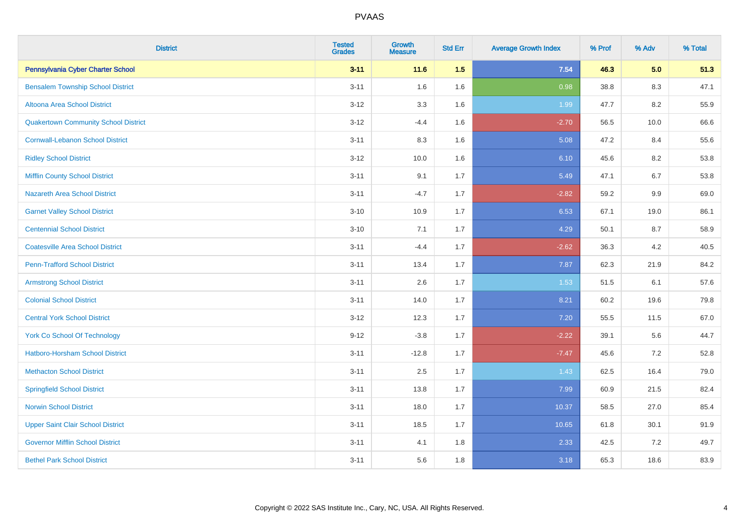| <b>District</b>                             | <b>Tested</b><br><b>Grades</b> | <b>Growth</b><br><b>Measure</b> | <b>Std Err</b> | <b>Average Growth Index</b> | % Prof | % Adv   | % Total |
|---------------------------------------------|--------------------------------|---------------------------------|----------------|-----------------------------|--------|---------|---------|
| Pennsylvania Cyber Charter School           | $3 - 11$                       | 11.6                            | 1.5            | 7.54                        | 46.3   | 5.0     | 51.3    |
| <b>Bensalem Township School District</b>    | $3 - 11$                       | 1.6                             | 1.6            | 0.98                        | 38.8   | $8.3\,$ | 47.1    |
| Altoona Area School District                | $3 - 12$                       | 3.3                             | 1.6            | 1.99                        | 47.7   | 8.2     | 55.9    |
| <b>Quakertown Community School District</b> | $3-12$                         | $-4.4$                          | 1.6            | $-2.70$                     | 56.5   | 10.0    | 66.6    |
| <b>Cornwall-Lebanon School District</b>     | $3 - 11$                       | 8.3                             | 1.6            | 5.08                        | 47.2   | 8.4     | 55.6    |
| <b>Ridley School District</b>               | $3 - 12$                       | 10.0                            | 1.6            | 6.10                        | 45.6   | 8.2     | 53.8    |
| <b>Mifflin County School District</b>       | $3 - 11$                       | 9.1                             | 1.7            | 5.49                        | 47.1   | 6.7     | 53.8    |
| <b>Nazareth Area School District</b>        | $3 - 11$                       | $-4.7$                          | 1.7            | $-2.82$                     | 59.2   | 9.9     | 69.0    |
| <b>Garnet Valley School District</b>        | $3 - 10$                       | 10.9                            | 1.7            | 6.53                        | 67.1   | 19.0    | 86.1    |
| <b>Centennial School District</b>           | $3 - 10$                       | 7.1                             | 1.7            | 4.29                        | 50.1   | 8.7     | 58.9    |
| <b>Coatesville Area School District</b>     | $3 - 11$                       | $-4.4$                          | 1.7            | $-2.62$                     | 36.3   | 4.2     | 40.5    |
| <b>Penn-Trafford School District</b>        | $3 - 11$                       | 13.4                            | 1.7            | 7.87                        | 62.3   | 21.9    | 84.2    |
| <b>Armstrong School District</b>            | $3 - 11$                       | 2.6                             | 1.7            | 1.53                        | 51.5   | 6.1     | 57.6    |
| <b>Colonial School District</b>             | $3 - 11$                       | 14.0                            | 1.7            | 8.21                        | 60.2   | 19.6    | 79.8    |
| <b>Central York School District</b>         | $3-12$                         | 12.3                            | 1.7            | 7.20                        | 55.5   | 11.5    | 67.0    |
| <b>York Co School Of Technology</b>         | $9 - 12$                       | $-3.8$                          | 1.7            | $-2.22$                     | 39.1   | 5.6     | 44.7    |
| <b>Hatboro-Horsham School District</b>      | $3 - 11$                       | $-12.8$                         | 1.7            | $-7.47$                     | 45.6   | 7.2     | 52.8    |
| <b>Methacton School District</b>            | $3 - 11$                       | 2.5                             | 1.7            | 1.43                        | 62.5   | 16.4    | 79.0    |
| <b>Springfield School District</b>          | $3 - 11$                       | 13.8                            | 1.7            | 7.99                        | 60.9   | 21.5    | 82.4    |
| <b>Norwin School District</b>               | $3 - 11$                       | 18.0                            | 1.7            | 10.37                       | 58.5   | 27.0    | 85.4    |
| <b>Upper Saint Clair School District</b>    | $3 - 11$                       | 18.5                            | 1.7            | 10.65                       | 61.8   | 30.1    | 91.9    |
| <b>Governor Mifflin School District</b>     | $3 - 11$                       | 4.1                             | 1.8            | 2.33                        | 42.5   | 7.2     | 49.7    |
| <b>Bethel Park School District</b>          | $3 - 11$                       | 5.6                             | 1.8            | 3.18                        | 65.3   | 18.6    | 83.9    |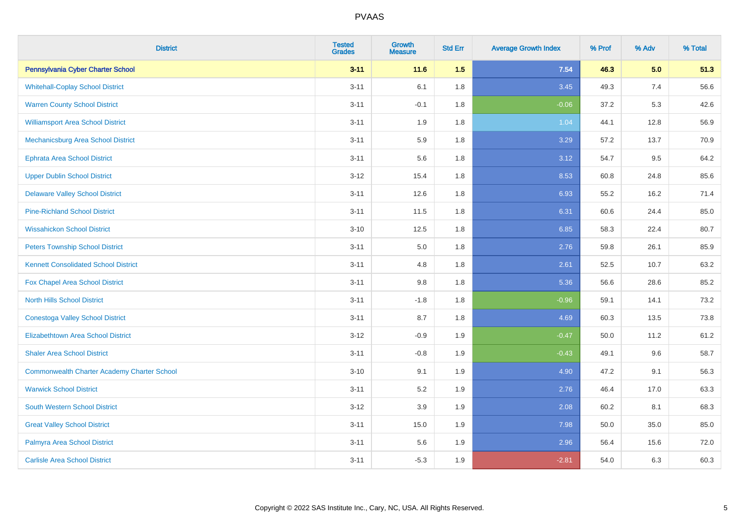| <b>District</b>                                    | <b>Tested</b><br><b>Grades</b> | Growth<br><b>Measure</b> | <b>Std Err</b> | <b>Average Growth Index</b> | % Prof | % Adv | % Total |
|----------------------------------------------------|--------------------------------|--------------------------|----------------|-----------------------------|--------|-------|---------|
| Pennsylvania Cyber Charter School                  | $3 - 11$                       | 11.6                     | 1.5            | 7.54                        | 46.3   | 5.0   | 51.3    |
| <b>Whitehall-Coplay School District</b>            | $3 - 11$                       | 6.1                      | 1.8            | 3.45                        | 49.3   | 7.4   | 56.6    |
| <b>Warren County School District</b>               | $3 - 11$                       | $-0.1$                   | 1.8            | $-0.06$                     | 37.2   | 5.3   | 42.6    |
| <b>Williamsport Area School District</b>           | $3 - 11$                       | 1.9                      | 1.8            | 1.04                        | 44.1   | 12.8  | 56.9    |
| Mechanicsburg Area School District                 | $3 - 11$                       | 5.9                      | 1.8            | 3.29                        | 57.2   | 13.7  | 70.9    |
| <b>Ephrata Area School District</b>                | $3 - 11$                       | 5.6                      | 1.8            | 3.12                        | 54.7   | 9.5   | 64.2    |
| <b>Upper Dublin School District</b>                | $3 - 12$                       | 15.4                     | 1.8            | 8.53                        | 60.8   | 24.8  | 85.6    |
| <b>Delaware Valley School District</b>             | $3 - 11$                       | 12.6                     | 1.8            | 6.93                        | 55.2   | 16.2  | 71.4    |
| <b>Pine-Richland School District</b>               | $3 - 11$                       | 11.5                     | 1.8            | 6.31                        | 60.6   | 24.4  | 85.0    |
| <b>Wissahickon School District</b>                 | $3 - 10$                       | 12.5                     | 1.8            | 6.85                        | 58.3   | 22.4  | 80.7    |
| <b>Peters Township School District</b>             | $3 - 11$                       | 5.0                      | 1.8            | 2.76                        | 59.8   | 26.1  | 85.9    |
| <b>Kennett Consolidated School District</b>        | $3 - 11$                       | 4.8                      | 1.8            | 2.61                        | 52.5   | 10.7  | 63.2    |
| Fox Chapel Area School District                    | $3 - 11$                       | 9.8                      | 1.8            | 5.36                        | 56.6   | 28.6  | 85.2    |
| <b>North Hills School District</b>                 | $3 - 11$                       | $-1.8$                   | 1.8            | $-0.96$                     | 59.1   | 14.1  | 73.2    |
| <b>Conestoga Valley School District</b>            | $3 - 11$                       | 8.7                      | 1.8            | 4.69                        | 60.3   | 13.5  | 73.8    |
| <b>Elizabethtown Area School District</b>          | $3 - 12$                       | $-0.9$                   | 1.9            | $-0.47$                     | 50.0   | 11.2  | 61.2    |
| <b>Shaler Area School District</b>                 | $3 - 11$                       | $-0.8$                   | 1.9            | $-0.43$                     | 49.1   | 9.6   | 58.7    |
| <b>Commonwealth Charter Academy Charter School</b> | $3 - 10$                       | 9.1                      | 1.9            | 4.90                        | 47.2   | 9.1   | 56.3    |
| <b>Warwick School District</b>                     | $3 - 11$                       | 5.2                      | 1.9            | 2.76                        | 46.4   | 17.0  | 63.3    |
| South Western School District                      | $3 - 12$                       | 3.9                      | 1.9            | 2.08                        | 60.2   | 8.1   | 68.3    |
| <b>Great Valley School District</b>                | $3 - 11$                       | 15.0                     | 1.9            | 7.98                        | 50.0   | 35.0  | 85.0    |
| Palmyra Area School District                       | $3 - 11$                       | 5.6                      | 1.9            | 2.96                        | 56.4   | 15.6  | 72.0    |
| <b>Carlisle Area School District</b>               | $3 - 11$                       | $-5.3$                   | 1.9            | $-2.81$                     | 54.0   | 6.3   | 60.3    |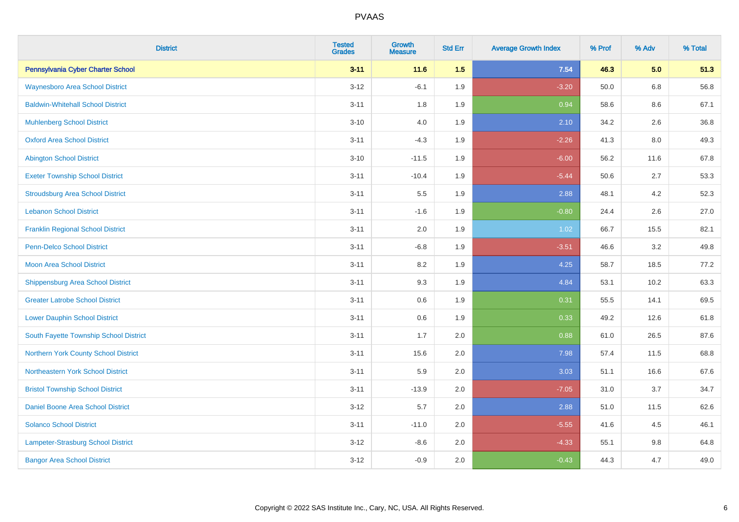| <b>District</b>                          | <b>Tested</b><br><b>Grades</b> | <b>Growth</b><br><b>Measure</b> | <b>Std Err</b> | <b>Average Growth Index</b> | % Prof | % Adv   | % Total |
|------------------------------------------|--------------------------------|---------------------------------|----------------|-----------------------------|--------|---------|---------|
| Pennsylvania Cyber Charter School        | $3 - 11$                       | $11.6$                          | 1.5            | 7.54                        | 46.3   | 5.0     | 51.3    |
| <b>Waynesboro Area School District</b>   | $3 - 12$                       | $-6.1$                          | 1.9            | $-3.20$                     | 50.0   | $6.8\,$ | 56.8    |
| <b>Baldwin-Whitehall School District</b> | $3 - 11$                       | 1.8                             | 1.9            | 0.94                        | 58.6   | 8.6     | 67.1    |
| <b>Muhlenberg School District</b>        | $3 - 10$                       | 4.0                             | 1.9            | 2.10                        | 34.2   | 2.6     | 36.8    |
| <b>Oxford Area School District</b>       | $3 - 11$                       | $-4.3$                          | 1.9            | $-2.26$                     | 41.3   | 8.0     | 49.3    |
| <b>Abington School District</b>          | $3 - 10$                       | $-11.5$                         | 1.9            | $-6.00$                     | 56.2   | 11.6    | 67.8    |
| <b>Exeter Township School District</b>   | $3 - 11$                       | $-10.4$                         | 1.9            | $-5.44$                     | 50.6   | 2.7     | 53.3    |
| <b>Stroudsburg Area School District</b>  | $3 - 11$                       | 5.5                             | 1.9            | 2.88                        | 48.1   | 4.2     | 52.3    |
| <b>Lebanon School District</b>           | $3 - 11$                       | $-1.6$                          | 1.9            | $-0.80$                     | 24.4   | 2.6     | 27.0    |
| <b>Franklin Regional School District</b> | $3 - 11$                       | 2.0                             | 1.9            | 1.02                        | 66.7   | 15.5    | 82.1    |
| Penn-Delco School District               | $3 - 11$                       | $-6.8$                          | 1.9            | $-3.51$                     | 46.6   | 3.2     | 49.8    |
| <b>Moon Area School District</b>         | $3 - 11$                       | 8.2                             | 1.9            | 4.25                        | 58.7   | 18.5    | 77.2    |
| <b>Shippensburg Area School District</b> | $3 - 11$                       | 9.3                             | 1.9            | 4.84                        | 53.1   | 10.2    | 63.3    |
| <b>Greater Latrobe School District</b>   | $3 - 11$                       | $0.6\,$                         | 1.9            | 0.31                        | 55.5   | 14.1    | 69.5    |
| <b>Lower Dauphin School District</b>     | $3 - 11$                       | 0.6                             | 1.9            | 0.33                        | 49.2   | 12.6    | 61.8    |
| South Fayette Township School District   | $3 - 11$                       | 1.7                             | 2.0            | 0.88                        | 61.0   | 26.5    | 87.6    |
| Northern York County School District     | $3 - 11$                       | 15.6                            | 2.0            | 7.98                        | 57.4   | 11.5    | 68.8    |
| Northeastern York School District        | $3 - 11$                       | 5.9                             | 2.0            | 3.03                        | 51.1   | 16.6    | 67.6    |
| <b>Bristol Township School District</b>  | $3 - 11$                       | $-13.9$                         | 2.0            | $-7.05$                     | 31.0   | 3.7     | 34.7    |
| Daniel Boone Area School District        | $3 - 12$                       | 5.7                             | 2.0            | 2.88                        | 51.0   | 11.5    | 62.6    |
| <b>Solanco School District</b>           | $3 - 11$                       | $-11.0$                         | 2.0            | $-5.55$                     | 41.6   | 4.5     | 46.1    |
| Lampeter-Strasburg School District       | $3 - 12$                       | $-8.6$                          | 2.0            | $-4.33$                     | 55.1   | 9.8     | 64.8    |
| <b>Bangor Area School District</b>       | $3 - 12$                       | $-0.9$                          | 2.0            | $-0.43$                     | 44.3   | 4.7     | 49.0    |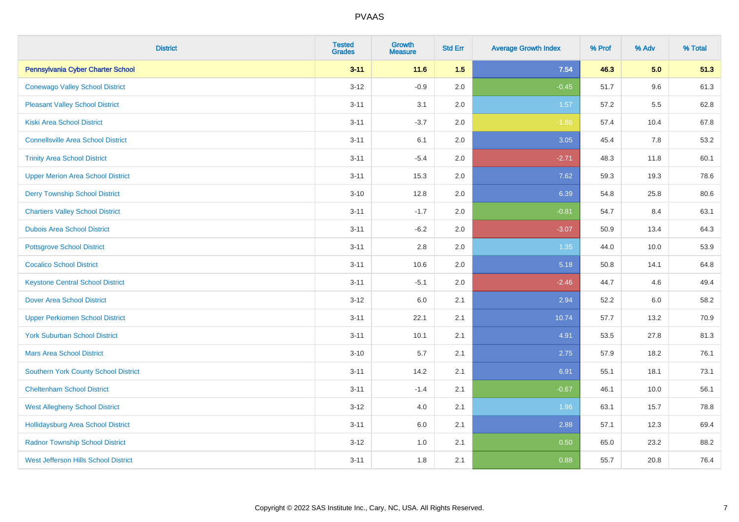| <b>District</b>                             | <b>Tested</b><br><b>Grades</b> | Growth<br><b>Measure</b> | <b>Std Err</b> | <b>Average Growth Index</b> | % Prof | % Adv | % Total |
|---------------------------------------------|--------------------------------|--------------------------|----------------|-----------------------------|--------|-------|---------|
| Pennsylvania Cyber Charter School           | $3 - 11$                       | 11.6                     | 1.5            | 7.54                        | 46.3   | 5.0   | 51.3    |
| <b>Conewago Valley School District</b>      | $3 - 12$                       | $-0.9$                   | 2.0            | $-0.45$                     | 51.7   | 9.6   | 61.3    |
| <b>Pleasant Valley School District</b>      | $3 - 11$                       | 3.1                      | 2.0            | 1.57                        | 57.2   | 5.5   | 62.8    |
| <b>Kiski Area School District</b>           | $3 - 11$                       | $-3.7$                   | 2.0            | $-1.86$                     | 57.4   | 10.4  | 67.8    |
| <b>Connellsville Area School District</b>   | $3 - 11$                       | 6.1                      | 2.0            | 3.05                        | 45.4   | 7.8   | 53.2    |
| <b>Trinity Area School District</b>         | $3 - 11$                       | $-5.4$                   | 2.0            | $-2.71$                     | 48.3   | 11.8  | 60.1    |
| <b>Upper Merion Area School District</b>    | $3 - 11$                       | 15.3                     | 2.0            | 7.62                        | 59.3   | 19.3  | 78.6    |
| <b>Derry Township School District</b>       | $3 - 10$                       | 12.8                     | 2.0            | 6.39                        | 54.8   | 25.8  | 80.6    |
| <b>Chartiers Valley School District</b>     | $3 - 11$                       | $-1.7$                   | 2.0            | $-0.81$                     | 54.7   | 8.4   | 63.1    |
| <b>Dubois Area School District</b>          | $3 - 11$                       | $-6.2$                   | 2.0            | $-3.07$                     | 50.9   | 13.4  | 64.3    |
| <b>Pottsgrove School District</b>           | $3 - 11$                       | 2.8                      | 2.0            | 1.35                        | 44.0   | 10.0  | 53.9    |
| <b>Cocalico School District</b>             | $3 - 11$                       | 10.6                     | 2.0            | 5.18                        | 50.8   | 14.1  | 64.8    |
| <b>Keystone Central School District</b>     | $3 - 11$                       | $-5.1$                   | 2.0            | $-2.46$                     | 44.7   | 4.6   | 49.4    |
| <b>Dover Area School District</b>           | $3 - 12$                       | 6.0                      | 2.1            | 2.94                        | 52.2   | 6.0   | 58.2    |
| <b>Upper Perkiomen School District</b>      | $3 - 11$                       | 22.1                     | 2.1            | 10.74                       | 57.7   | 13.2  | 70.9    |
| <b>York Suburban School District</b>        | $3 - 11$                       | 10.1                     | 2.1            | 4.91                        | 53.5   | 27.8  | 81.3    |
| <b>Mars Area School District</b>            | $3 - 10$                       | 5.7                      | 2.1            | 2.75                        | 57.9   | 18.2  | 76.1    |
| Southern York County School District        | $3 - 11$                       | 14.2                     | 2.1            | 6.91                        | 55.1   | 18.1  | 73.1    |
| <b>Cheltenham School District</b>           | $3 - 11$                       | $-1.4$                   | 2.1            | $-0.67$                     | 46.1   | 10.0  | 56.1    |
| <b>West Allegheny School District</b>       | $3 - 12$                       | 4.0                      | 2.1            | 1.96                        | 63.1   | 15.7  | 78.8    |
| <b>Hollidaysburg Area School District</b>   | $3 - 11$                       | 6.0                      | 2.1            | 2.88                        | 57.1   | 12.3  | 69.4    |
| <b>Radnor Township School District</b>      | $3 - 12$                       | 1.0                      | 2.1            | 0.50                        | 65.0   | 23.2  | 88.2    |
| <b>West Jefferson Hills School District</b> | $3 - 11$                       | 1.8                      | 2.1            | 0.88                        | 55.7   | 20.8  | 76.4    |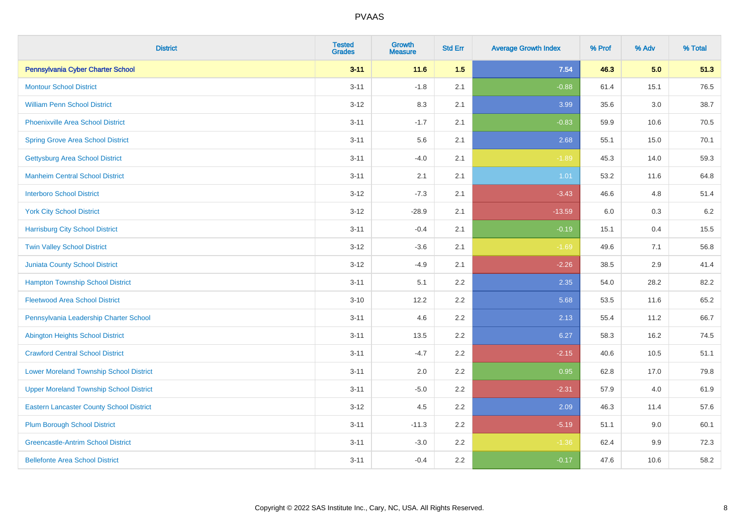| <b>District</b>                                 | <b>Tested</b><br><b>Grades</b> | <b>Growth</b><br><b>Measure</b> | <b>Std Err</b> | <b>Average Growth Index</b> | % Prof | % Adv   | % Total |
|-------------------------------------------------|--------------------------------|---------------------------------|----------------|-----------------------------|--------|---------|---------|
| Pennsylvania Cyber Charter School               | $3 - 11$                       | 11.6                            | 1.5            | 7.54                        | 46.3   | 5.0     | 51.3    |
| <b>Montour School District</b>                  | $3 - 11$                       | $-1.8$                          | 2.1            | $-0.88$                     | 61.4   | 15.1    | 76.5    |
| <b>William Penn School District</b>             | $3 - 12$                       | 8.3                             | 2.1            | 3.99                        | 35.6   | 3.0     | 38.7    |
| <b>Phoenixville Area School District</b>        | $3 - 11$                       | $-1.7$                          | 2.1            | $-0.83$                     | 59.9   | 10.6    | 70.5    |
| <b>Spring Grove Area School District</b>        | $3 - 11$                       | 5.6                             | 2.1            | 2.68                        | 55.1   | 15.0    | 70.1    |
| <b>Gettysburg Area School District</b>          | $3 - 11$                       | $-4.0$                          | 2.1            | $-1.89$                     | 45.3   | 14.0    | 59.3    |
| <b>Manheim Central School District</b>          | $3 - 11$                       | 2.1                             | 2.1            | 1.01                        | 53.2   | 11.6    | 64.8    |
| <b>Interboro School District</b>                | $3 - 12$                       | $-7.3$                          | 2.1            | $-3.43$                     | 46.6   | 4.8     | 51.4    |
| <b>York City School District</b>                | $3 - 12$                       | $-28.9$                         | 2.1            | $-13.59$                    | 6.0    | 0.3     | 6.2     |
| <b>Harrisburg City School District</b>          | $3 - 11$                       | $-0.4$                          | 2.1            | $-0.19$                     | 15.1   | 0.4     | 15.5    |
| <b>Twin Valley School District</b>              | $3 - 12$                       | $-3.6$                          | 2.1            | $-1.69$                     | 49.6   | 7.1     | 56.8    |
| <b>Juniata County School District</b>           | $3 - 12$                       | $-4.9$                          | 2.1            | $-2.26$                     | 38.5   | 2.9     | 41.4    |
| <b>Hampton Township School District</b>         | $3 - 11$                       | 5.1                             | 2.2            | 2.35                        | 54.0   | 28.2    | 82.2    |
| <b>Fleetwood Area School District</b>           | $3 - 10$                       | 12.2                            | 2.2            | 5.68                        | 53.5   | 11.6    | 65.2    |
| Pennsylvania Leadership Charter School          | $3 - 11$                       | 4.6                             | 2.2            | 2.13                        | 55.4   | 11.2    | 66.7    |
| <b>Abington Heights School District</b>         | $3 - 11$                       | 13.5                            | 2.2            | 6.27                        | 58.3   | 16.2    | 74.5    |
| <b>Crawford Central School District</b>         | $3 - 11$                       | $-4.7$                          | 2.2            | $-2.15$                     | 40.6   | 10.5    | 51.1    |
| <b>Lower Moreland Township School District</b>  | $3 - 11$                       | 2.0                             | 2.2            | 0.95                        | 62.8   | 17.0    | 79.8    |
| <b>Upper Moreland Township School District</b>  | $3 - 11$                       | $-5.0$                          | 2.2            | $-2.31$                     | 57.9   | 4.0     | 61.9    |
| <b>Eastern Lancaster County School District</b> | $3 - 12$                       | 4.5                             | 2.2            | 2.09                        | 46.3   | 11.4    | 57.6    |
| <b>Plum Borough School District</b>             | $3 - 11$                       | $-11.3$                         | 2.2            | $-5.19$                     | 51.1   | 9.0     | 60.1    |
| <b>Greencastle-Antrim School District</b>       | $3 - 11$                       | $-3.0$                          | 2.2            | $-1.36$                     | 62.4   | $9.9\,$ | 72.3    |
| <b>Bellefonte Area School District</b>          | $3 - 11$                       | $-0.4$                          | 2.2            | $-0.17$                     | 47.6   | 10.6    | 58.2    |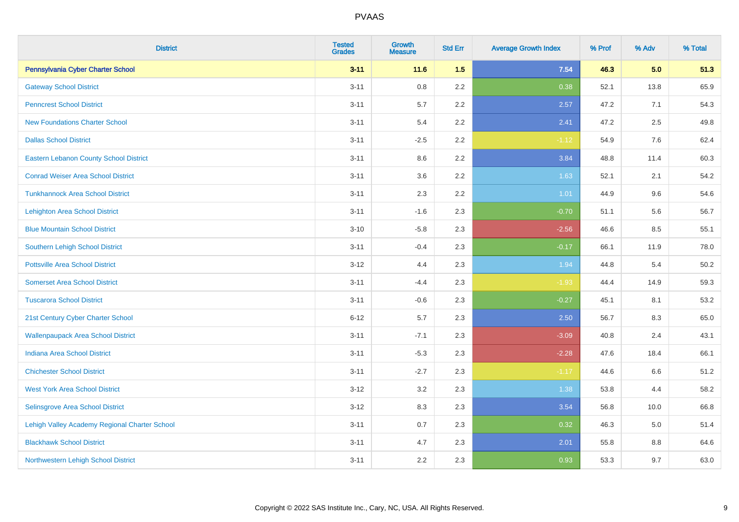| <b>District</b>                               | <b>Tested</b><br><b>Grades</b> | Growth<br><b>Measure</b> | <b>Std Err</b> | <b>Average Growth Index</b> | % Prof | % Adv | % Total |
|-----------------------------------------------|--------------------------------|--------------------------|----------------|-----------------------------|--------|-------|---------|
| Pennsylvania Cyber Charter School             | $3 - 11$                       | 11.6                     | 1.5            | 7.54                        | 46.3   | 5.0   | 51.3    |
| <b>Gateway School District</b>                | $3 - 11$                       | 0.8                      | 2.2            | 0.38                        | 52.1   | 13.8  | 65.9    |
| <b>Penncrest School District</b>              | $3 - 11$                       | 5.7                      | 2.2            | 2.57                        | 47.2   | 7.1   | 54.3    |
| <b>New Foundations Charter School</b>         | $3 - 11$                       | 5.4                      | 2.2            | 2.41                        | 47.2   | 2.5   | 49.8    |
| <b>Dallas School District</b>                 | $3 - 11$                       | $-2.5$                   | 2.2            | $-1.12$                     | 54.9   | 7.6   | 62.4    |
| <b>Eastern Lebanon County School District</b> | $3 - 11$                       | 8.6                      | 2.2            | 3.84                        | 48.8   | 11.4  | 60.3    |
| <b>Conrad Weiser Area School District</b>     | $3 - 11$                       | 3.6                      | 2.2            | 1.63                        | 52.1   | 2.1   | 54.2    |
| <b>Tunkhannock Area School District</b>       | $3 - 11$                       | 2.3                      | 2.2            | 1.01                        | 44.9   | 9.6   | 54.6    |
| <b>Lehighton Area School District</b>         | $3 - 11$                       | $-1.6$                   | 2.3            | $-0.70$                     | 51.1   | 5.6   | 56.7    |
| <b>Blue Mountain School District</b>          | $3 - 10$                       | $-5.8$                   | 2.3            | $-2.56$                     | 46.6   | 8.5   | 55.1    |
| Southern Lehigh School District               | $3 - 11$                       | $-0.4$                   | 2.3            | $-0.17$                     | 66.1   | 11.9  | 78.0    |
| <b>Pottsville Area School District</b>        | $3 - 12$                       | 4.4                      | 2.3            | 1.94                        | 44.8   | 5.4   | 50.2    |
| <b>Somerset Area School District</b>          | $3 - 11$                       | $-4.4$                   | 2.3            | $-1.93$                     | 44.4   | 14.9  | 59.3    |
| <b>Tuscarora School District</b>              | $3 - 11$                       | $-0.6$                   | 2.3            | $-0.27$                     | 45.1   | 8.1   | 53.2    |
| 21st Century Cyber Charter School             | $6 - 12$                       | 5.7                      | 2.3            | 2.50                        | 56.7   | 8.3   | 65.0    |
| <b>Wallenpaupack Area School District</b>     | $3 - 11$                       | $-7.1$                   | 2.3            | $-3.09$                     | 40.8   | 2.4   | 43.1    |
| <b>Indiana Area School District</b>           | $3 - 11$                       | $-5.3$                   | 2.3            | $-2.28$                     | 47.6   | 18.4  | 66.1    |
| <b>Chichester School District</b>             | $3 - 11$                       | $-2.7$                   | 2.3            | $-1.17$                     | 44.6   | 6.6   | 51.2    |
| <b>West York Area School District</b>         | $3 - 12$                       | 3.2                      | 2.3            | 1.38                        | 53.8   | 4.4   | 58.2    |
| Selinsgrove Area School District              | $3 - 12$                       | 8.3                      | 2.3            | 3.54                        | 56.8   | 10.0  | 66.8    |
| Lehigh Valley Academy Regional Charter School | $3 - 11$                       | 0.7                      | 2.3            | 0.32                        | 46.3   | 5.0   | 51.4    |
| <b>Blackhawk School District</b>              | $3 - 11$                       | 4.7                      | 2.3            | 2.01                        | 55.8   | 8.8   | 64.6    |
| Northwestern Lehigh School District           | $3 - 11$                       | 2.2                      | 2.3            | 0.93                        | 53.3   | 9.7   | 63.0    |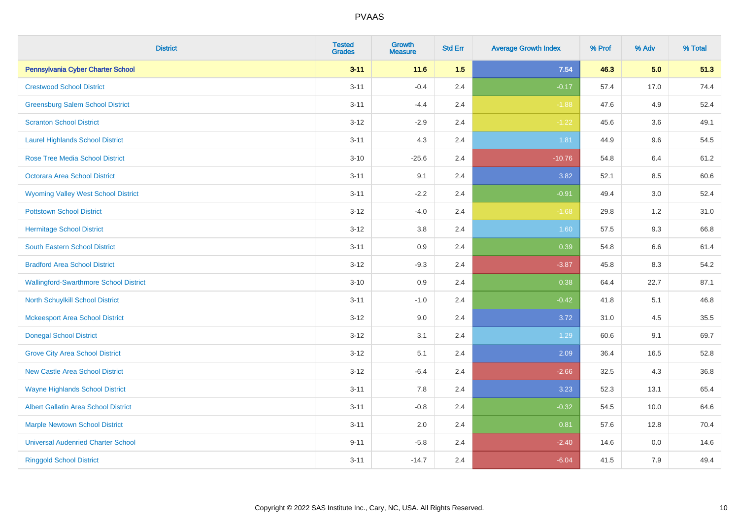| <b>District</b>                               | <b>Tested</b><br><b>Grades</b> | <b>Growth</b><br><b>Measure</b> | <b>Std Err</b> | <b>Average Growth Index</b> | % Prof | % Adv | % Total |
|-----------------------------------------------|--------------------------------|---------------------------------|----------------|-----------------------------|--------|-------|---------|
| Pennsylvania Cyber Charter School             | $3 - 11$                       | 11.6                            | 1.5            | 7.54                        | 46.3   | 5.0   | 51.3    |
| <b>Crestwood School District</b>              | $3 - 11$                       | $-0.4$                          | 2.4            | $-0.17$                     | 57.4   | 17.0  | 74.4    |
| <b>Greensburg Salem School District</b>       | $3 - 11$                       | $-4.4$                          | 2.4            | $-1.88$                     | 47.6   | 4.9   | 52.4    |
| <b>Scranton School District</b>               | $3 - 12$                       | $-2.9$                          | 2.4            | $-1.22$                     | 45.6   | 3.6   | 49.1    |
| <b>Laurel Highlands School District</b>       | $3 - 11$                       | 4.3                             | 2.4            | 1.81                        | 44.9   | 9.6   | 54.5    |
| <b>Rose Tree Media School District</b>        | $3 - 10$                       | $-25.6$                         | 2.4            | $-10.76$                    | 54.8   | 6.4   | 61.2    |
| Octorara Area School District                 | $3 - 11$                       | 9.1                             | 2.4            | 3.82                        | 52.1   | 8.5   | 60.6    |
| <b>Wyoming Valley West School District</b>    | $3 - 11$                       | $-2.2$                          | 2.4            | $-0.91$                     | 49.4   | 3.0   | 52.4    |
| <b>Pottstown School District</b>              | $3 - 12$                       | $-4.0$                          | 2.4            | $-1.68$                     | 29.8   | 1.2   | 31.0    |
| <b>Hermitage School District</b>              | $3 - 12$                       | $3.8\,$                         | 2.4            | 1.60                        | 57.5   | 9.3   | 66.8    |
| South Eastern School District                 | $3 - 11$                       | 0.9                             | 2.4            | 0.39                        | 54.8   | 6.6   | 61.4    |
| <b>Bradford Area School District</b>          | $3 - 12$                       | $-9.3$                          | 2.4            | $-3.87$                     | 45.8   | 8.3   | 54.2    |
| <b>Wallingford-Swarthmore School District</b> | $3 - 10$                       | 0.9                             | 2.4            | 0.38                        | 64.4   | 22.7  | 87.1    |
| North Schuylkill School District              | $3 - 11$                       | $-1.0$                          | 2.4            | $-0.42$                     | 41.8   | 5.1   | 46.8    |
| <b>Mckeesport Area School District</b>        | $3 - 12$                       | 9.0                             | 2.4            | 3.72                        | 31.0   | 4.5   | 35.5    |
| <b>Donegal School District</b>                | $3 - 12$                       | 3.1                             | 2.4            | 1.29                        | 60.6   | 9.1   | 69.7    |
| <b>Grove City Area School District</b>        | $3 - 12$                       | 5.1                             | 2.4            | 2.09                        | 36.4   | 16.5  | 52.8    |
| <b>New Castle Area School District</b>        | $3 - 12$                       | $-6.4$                          | 2.4            | $-2.66$                     | 32.5   | 4.3   | 36.8    |
| <b>Wayne Highlands School District</b>        | $3 - 11$                       | 7.8                             | 2.4            | 3.23                        | 52.3   | 13.1  | 65.4    |
| <b>Albert Gallatin Area School District</b>   | $3 - 11$                       | $-0.8$                          | 2.4            | $-0.32$                     | 54.5   | 10.0  | 64.6    |
| <b>Marple Newtown School District</b>         | $3 - 11$                       | 2.0                             | 2.4            | 0.81                        | 57.6   | 12.8  | 70.4    |
| <b>Universal Audenried Charter School</b>     | $9 - 11$                       | $-5.8$                          | 2.4            | $-2.40$                     | 14.6   | 0.0   | 14.6    |
| <b>Ringgold School District</b>               | $3 - 11$                       | $-14.7$                         | 2.4            | $-6.04$                     | 41.5   | 7.9   | 49.4    |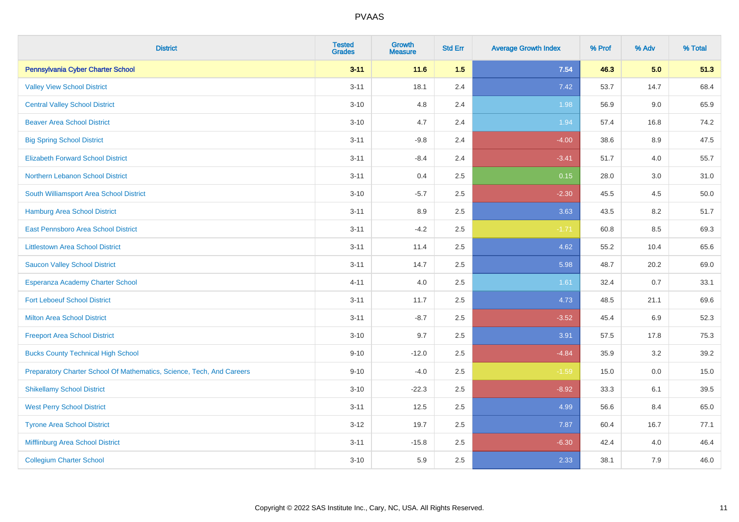| <b>District</b>                                                       | <b>Tested</b><br><b>Grades</b> | <b>Growth</b><br><b>Measure</b> | <b>Std Err</b> | <b>Average Growth Index</b> | % Prof | % Adv   | % Total |
|-----------------------------------------------------------------------|--------------------------------|---------------------------------|----------------|-----------------------------|--------|---------|---------|
| Pennsylvania Cyber Charter School                                     | $3 - 11$                       | 11.6                            | 1.5            | 7.54                        | 46.3   | 5.0     | 51.3    |
| <b>Valley View School District</b>                                    | $3 - 11$                       | 18.1                            | 2.4            | 7.42                        | 53.7   | 14.7    | 68.4    |
| <b>Central Valley School District</b>                                 | $3 - 10$                       | 4.8                             | 2.4            | 1.98                        | 56.9   | 9.0     | 65.9    |
| <b>Beaver Area School District</b>                                    | $3 - 10$                       | 4.7                             | 2.4            | 1.94                        | 57.4   | 16.8    | 74.2    |
| <b>Big Spring School District</b>                                     | $3 - 11$                       | $-9.8$                          | 2.4            | $-4.00$                     | 38.6   | 8.9     | 47.5    |
| <b>Elizabeth Forward School District</b>                              | $3 - 11$                       | $-8.4$                          | 2.4            | $-3.41$                     | 51.7   | 4.0     | 55.7    |
| Northern Lebanon School District                                      | $3 - 11$                       | 0.4                             | 2.5            | 0.15                        | 28.0   | 3.0     | 31.0    |
| South Williamsport Area School District                               | $3 - 10$                       | $-5.7$                          | 2.5            | $-2.30$                     | 45.5   | 4.5     | 50.0    |
| Hamburg Area School District                                          | $3 - 11$                       | 8.9                             | 2.5            | 3.63                        | 43.5   | 8.2     | 51.7    |
| East Pennsboro Area School District                                   | $3 - 11$                       | $-4.2$                          | 2.5            | $-1.71$                     | 60.8   | 8.5     | 69.3    |
| <b>Littlestown Area School District</b>                               | $3 - 11$                       | 11.4                            | 2.5            | 4.62                        | 55.2   | 10.4    | 65.6    |
| <b>Saucon Valley School District</b>                                  | $3 - 11$                       | 14.7                            | 2.5            | 5.98                        | 48.7   | 20.2    | 69.0    |
| Esperanza Academy Charter School                                      | $4 - 11$                       | $4.0\,$                         | 2.5            | 1.61                        | 32.4   | 0.7     | 33.1    |
| <b>Fort Leboeuf School District</b>                                   | $3 - 11$                       | 11.7                            | 2.5            | 4.73                        | 48.5   | 21.1    | 69.6    |
| <b>Milton Area School District</b>                                    | $3 - 11$                       | $-8.7$                          | 2.5            | $-3.52$                     | 45.4   | 6.9     | 52.3    |
| <b>Freeport Area School District</b>                                  | $3 - 10$                       | 9.7                             | 2.5            | 3.91                        | 57.5   | 17.8    | 75.3    |
| <b>Bucks County Technical High School</b>                             | $9 - 10$                       | $-12.0$                         | 2.5            | $-4.84$                     | 35.9   | $3.2\,$ | 39.2    |
| Preparatory Charter School Of Mathematics, Science, Tech, And Careers | $9 - 10$                       | $-4.0$                          | 2.5            | $-1.59$                     | 15.0   | 0.0     | 15.0    |
| <b>Shikellamy School District</b>                                     | $3 - 10$                       | $-22.3$                         | 2.5            | $-8.92$                     | 33.3   | 6.1     | 39.5    |
| <b>West Perry School District</b>                                     | $3 - 11$                       | 12.5                            | 2.5            | 4.99                        | 56.6   | 8.4     | 65.0    |
| <b>Tyrone Area School District</b>                                    | $3 - 12$                       | 19.7                            | 2.5            | 7.87                        | 60.4   | 16.7    | 77.1    |
| Mifflinburg Area School District                                      | $3 - 11$                       | $-15.8$                         | 2.5            | $-6.30$                     | 42.4   | 4.0     | 46.4    |
| <b>Collegium Charter School</b>                                       | $3 - 10$                       | 5.9                             | 2.5            | 2.33                        | 38.1   | 7.9     | 46.0    |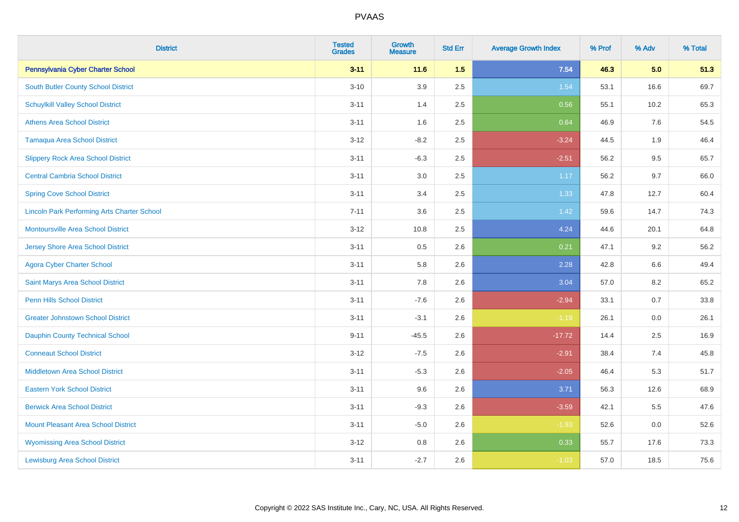| <b>District</b>                                    | <b>Tested</b><br><b>Grades</b> | <b>Growth</b><br><b>Measure</b> | <b>Std Err</b> | <b>Average Growth Index</b> | % Prof | % Adv | % Total |
|----------------------------------------------------|--------------------------------|---------------------------------|----------------|-----------------------------|--------|-------|---------|
| Pennsylvania Cyber Charter School                  | $3 - 11$                       | 11.6                            | 1.5            | 7.54                        | 46.3   | 5.0   | 51.3    |
| South Butler County School District                | $3 - 10$                       | 3.9                             | 2.5            | 1.54                        | 53.1   | 16.6  | 69.7    |
| <b>Schuylkill Valley School District</b>           | $3 - 11$                       | 1.4                             | 2.5            | 0.56                        | 55.1   | 10.2  | 65.3    |
| <b>Athens Area School District</b>                 | $3 - 11$                       | 1.6                             | 2.5            | 0.64                        | 46.9   | 7.6   | 54.5    |
| <b>Tamaqua Area School District</b>                | $3 - 12$                       | $-8.2$                          | 2.5            | $-3.24$                     | 44.5   | 1.9   | 46.4    |
| <b>Slippery Rock Area School District</b>          | $3 - 11$                       | $-6.3$                          | 2.5            | $-2.51$                     | 56.2   | 9.5   | 65.7    |
| <b>Central Cambria School District</b>             | $3 - 11$                       | 3.0                             | 2.5            | 1.17                        | 56.2   | 9.7   | 66.0    |
| <b>Spring Cove School District</b>                 | $3 - 11$                       | 3.4                             | 2.5            | 1.33                        | 47.8   | 12.7  | 60.4    |
| <b>Lincoln Park Performing Arts Charter School</b> | $7 - 11$                       | 3.6                             | 2.5            | 1.42                        | 59.6   | 14.7  | 74.3    |
| <b>Montoursville Area School District</b>          | $3 - 12$                       | 10.8                            | 2.5            | 4.24                        | 44.6   | 20.1  | 64.8    |
| <b>Jersey Shore Area School District</b>           | $3 - 11$                       | 0.5                             | 2.6            | 0.21                        | 47.1   | 9.2   | 56.2    |
| <b>Agora Cyber Charter School</b>                  | $3 - 11$                       | 5.8                             | 2.6            | 2.28                        | 42.8   | 6.6   | 49.4    |
| Saint Marys Area School District                   | $3 - 11$                       | 7.8                             | 2.6            | 3.04                        | 57.0   | 8.2   | 65.2    |
| Penn Hills School District                         | $3 - 11$                       | $-7.6$                          | 2.6            | $-2.94$                     | 33.1   | 0.7   | 33.8    |
| <b>Greater Johnstown School District</b>           | $3 - 11$                       | $-3.1$                          | 2.6            | $-1.19$                     | 26.1   | 0.0   | 26.1    |
| <b>Dauphin County Technical School</b>             | $9 - 11$                       | $-45.5$                         | 2.6            | $-17.72$                    | 14.4   | 2.5   | 16.9    |
| <b>Conneaut School District</b>                    | $3 - 12$                       | $-7.5$                          | 2.6            | $-2.91$                     | 38.4   | 7.4   | 45.8    |
| <b>Middletown Area School District</b>             | $3 - 11$                       | $-5.3$                          | 2.6            | $-2.05$                     | 46.4   | 5.3   | 51.7    |
| <b>Eastern York School District</b>                | $3 - 11$                       | 9.6                             | 2.6            | 3.71                        | 56.3   | 12.6  | 68.9    |
| <b>Berwick Area School District</b>                | $3 - 11$                       | $-9.3$                          | 2.6            | $-3.59$                     | 42.1   | 5.5   | 47.6    |
| <b>Mount Pleasant Area School District</b>         | $3 - 11$                       | $-5.0$                          | 2.6            | $-1.93$                     | 52.6   | 0.0   | 52.6    |
| <b>Wyomissing Area School District</b>             | $3 - 12$                       | $0.8\,$                         | 2.6            | 0.33                        | 55.7   | 17.6  | 73.3    |
| <b>Lewisburg Area School District</b>              | $3 - 11$                       | $-2.7$                          | 2.6            | $-1.03$                     | 57.0   | 18.5  | 75.6    |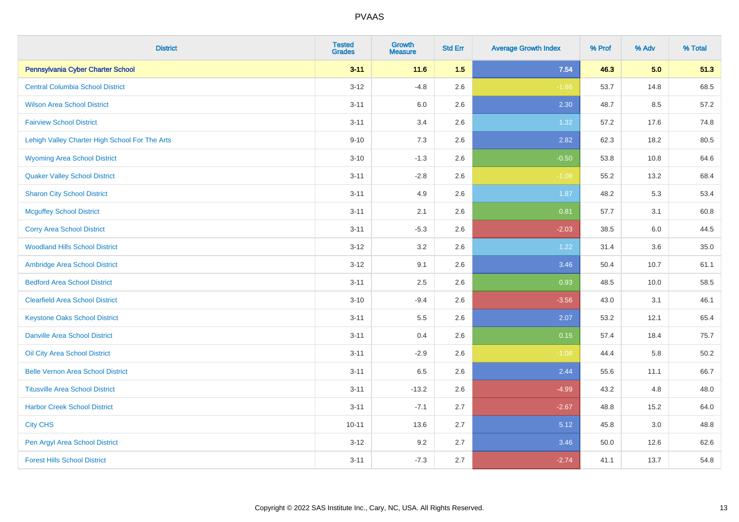| <b>District</b>                                | <b>Tested</b><br>Grades | <b>Growth</b><br><b>Measure</b> | <b>Std Err</b> | <b>Average Growth Index</b> | % Prof | % Adv | % Total |
|------------------------------------------------|-------------------------|---------------------------------|----------------|-----------------------------|--------|-------|---------|
| Pennsylvania Cyber Charter School              | $3 - 11$                | 11.6                            | 1.5            | 7.54                        | 46.3   | 5.0   | 51.3    |
| <b>Central Columbia School District</b>        | $3 - 12$                | $-4.8$                          | 2.6            | $-1.86$                     | 53.7   | 14.8  | 68.5    |
| <b>Wilson Area School District</b>             | $3 - 11$                | 6.0                             | 2.6            | 2.30                        | 48.7   | 8.5   | 57.2    |
| <b>Fairview School District</b>                | $3 - 11$                | 3.4                             | 2.6            | 1.32                        | 57.2   | 17.6  | 74.8    |
| Lehigh Valley Charter High School For The Arts | $9 - 10$                | 7.3                             | 2.6            | 2.82                        | 62.3   | 18.2  | 80.5    |
| <b>Wyoming Area School District</b>            | $3 - 10$                | $-1.3$                          | 2.6            | $-0.50$                     | 53.8   | 10.8  | 64.6    |
| <b>Quaker Valley School District</b>           | $3 - 11$                | $-2.8$                          | 2.6            | $-1.08$                     | 55.2   | 13.2  | 68.4    |
| <b>Sharon City School District</b>             | $3 - 11$                | 4.9                             | 2.6            | 1.87                        | 48.2   | 5.3   | 53.4    |
| <b>Mcguffey School District</b>                | $3 - 11$                | 2.1                             | 2.6            | 0.81                        | 57.7   | 3.1   | 60.8    |
| <b>Corry Area School District</b>              | $3 - 11$                | $-5.3$                          | 2.6            | $-2.03$                     | 38.5   | 6.0   | 44.5    |
| <b>Woodland Hills School District</b>          | $3-12$                  | 3.2                             | 2.6            | 1.22                        | 31.4   | 3.6   | 35.0    |
| Ambridge Area School District                  | $3 - 12$                | 9.1                             | 2.6            | 3.46                        | 50.4   | 10.7  | 61.1    |
| <b>Bedford Area School District</b>            | $3 - 11$                | 2.5                             | 2.6            | 0.93                        | 48.5   | 10.0  | 58.5    |
| <b>Clearfield Area School District</b>         | $3 - 10$                | $-9.4$                          | 2.6            | $-3.56$                     | 43.0   | 3.1   | 46.1    |
| <b>Keystone Oaks School District</b>           | $3 - 11$                | 5.5                             | 2.6            | 2.07                        | 53.2   | 12.1  | 65.4    |
| <b>Danville Area School District</b>           | $3 - 11$                | 0.4                             | 2.6            | 0.15                        | 57.4   | 18.4  | 75.7    |
| <b>Oil City Area School District</b>           | $3 - 11$                | $-2.9$                          | 2.6            | $-1.08$                     | 44.4   | 5.8   | 50.2    |
| <b>Belle Vernon Area School District</b>       | $3 - 11$                | 6.5                             | 2.6            | 2.44                        | 55.6   | 11.1  | 66.7    |
| <b>Titusville Area School District</b>         | $3 - 11$                | $-13.2$                         | 2.6            | $-4.99$                     | 43.2   | 4.8   | 48.0    |
| <b>Harbor Creek School District</b>            | $3 - 11$                | $-7.1$                          | 2.7            | $-2.67$                     | 48.8   | 15.2  | 64.0    |
| <b>City CHS</b>                                | $10 - 11$               | 13.6                            | 2.7            | 5.12                        | 45.8   | 3.0   | 48.8    |
| Pen Argyl Area School District                 | $3 - 12$                | 9.2                             | 2.7            | 3.46                        | 50.0   | 12.6  | 62.6    |
| <b>Forest Hills School District</b>            | $3 - 11$                | $-7.3$                          | 2.7            | $-2.74$                     | 41.1   | 13.7  | 54.8    |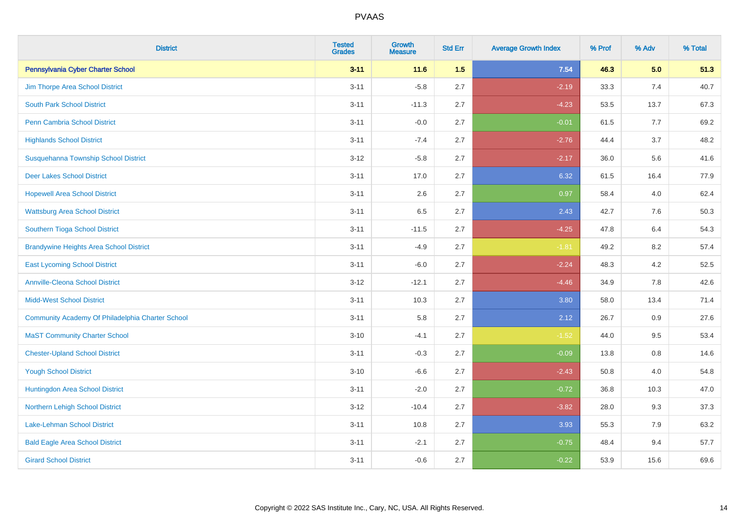| <b>District</b>                                  | <b>Tested</b><br><b>Grades</b> | <b>Growth</b><br><b>Measure</b> | <b>Std Err</b> | <b>Average Growth Index</b> | % Prof | % Adv   | % Total |
|--------------------------------------------------|--------------------------------|---------------------------------|----------------|-----------------------------|--------|---------|---------|
| Pennsylvania Cyber Charter School                | $3 - 11$                       | $11.6$                          | 1.5            | 7.54                        | 46.3   | 5.0     | 51.3    |
| Jim Thorpe Area School District                  | $3 - 11$                       | $-5.8$                          | 2.7            | $-2.19$                     | 33.3   | 7.4     | 40.7    |
| <b>South Park School District</b>                | $3 - 11$                       | $-11.3$                         | 2.7            | $-4.23$                     | 53.5   | 13.7    | 67.3    |
| <b>Penn Cambria School District</b>              | $3 - 11$                       | $-0.0$                          | 2.7            | $-0.01$                     | 61.5   | 7.7     | 69.2    |
| <b>Highlands School District</b>                 | $3 - 11$                       | $-7.4$                          | 2.7            | $-2.76$                     | 44.4   | 3.7     | 48.2    |
| Susquehanna Township School District             | $3 - 12$                       | $-5.8$                          | 2.7            | $-2.17$                     | 36.0   | 5.6     | 41.6    |
| <b>Deer Lakes School District</b>                | $3 - 11$                       | 17.0                            | 2.7            | 6.32                        | 61.5   | 16.4    | 77.9    |
| <b>Hopewell Area School District</b>             | $3 - 11$                       | 2.6                             | 2.7            | 0.97                        | 58.4   | 4.0     | 62.4    |
| <b>Wattsburg Area School District</b>            | $3 - 11$                       | 6.5                             | 2.7            | 2.43                        | 42.7   | 7.6     | 50.3    |
| Southern Tioga School District                   | $3 - 11$                       | $-11.5$                         | 2.7            | $-4.25$                     | 47.8   | 6.4     | 54.3    |
| <b>Brandywine Heights Area School District</b>   | $3 - 11$                       | $-4.9$                          | 2.7            | $-1.81$                     | 49.2   | 8.2     | 57.4    |
| <b>East Lycoming School District</b>             | $3 - 11$                       | $-6.0$                          | 2.7            | $-2.24$                     | 48.3   | 4.2     | 52.5    |
| <b>Annville-Cleona School District</b>           | $3 - 12$                       | $-12.1$                         | 2.7            | $-4.46$                     | 34.9   | $7.8\,$ | 42.6    |
| <b>Midd-West School District</b>                 | $3 - 11$                       | 10.3                            | 2.7            | 3.80                        | 58.0   | 13.4    | 71.4    |
| Community Academy Of Philadelphia Charter School | $3 - 11$                       | 5.8                             | 2.7            | 2.12                        | 26.7   | 0.9     | 27.6    |
| <b>MaST Community Charter School</b>             | $3 - 10$                       | $-4.1$                          | 2.7            | $-1.52$                     | 44.0   | 9.5     | 53.4    |
| <b>Chester-Upland School District</b>            | $3 - 11$                       | $-0.3$                          | 2.7            | $-0.09$                     | 13.8   | $0.8\,$ | 14.6    |
| <b>Yough School District</b>                     | $3 - 10$                       | $-6.6$                          | 2.7            | $-2.43$                     | 50.8   | 4.0     | 54.8    |
| Huntingdon Area School District                  | $3 - 11$                       | $-2.0$                          | 2.7            | $-0.72$                     | 36.8   | 10.3    | 47.0    |
| <b>Northern Lehigh School District</b>           | $3 - 12$                       | $-10.4$                         | 2.7            | $-3.82$                     | 28.0   | 9.3     | 37.3    |
| <b>Lake-Lehman School District</b>               | $3 - 11$                       | 10.8                            | 2.7            | 3.93                        | 55.3   | 7.9     | 63.2    |
| <b>Bald Eagle Area School District</b>           | $3 - 11$                       | $-2.1$                          | 2.7            | $-0.75$                     | 48.4   | 9.4     | 57.7    |
| <b>Girard School District</b>                    | $3 - 11$                       | $-0.6$                          | 2.7            | $-0.22$                     | 53.9   | 15.6    | 69.6    |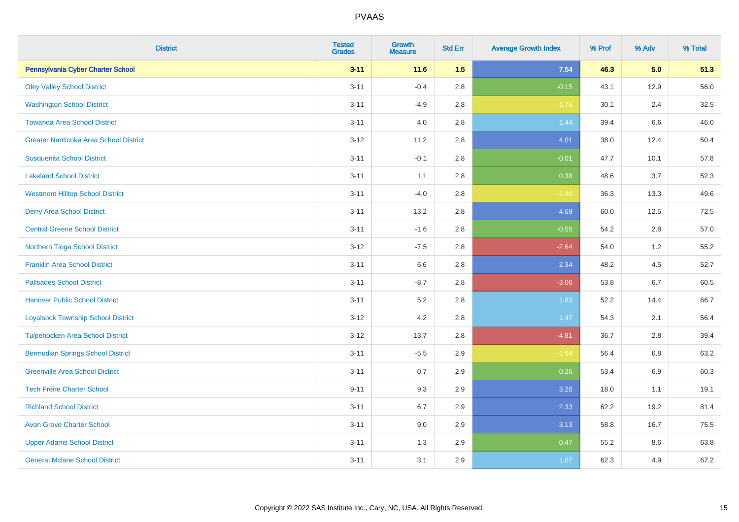| <b>District</b>                               | <b>Tested</b><br><b>Grades</b> | <b>Growth</b><br><b>Measure</b> | <b>Std Err</b> | <b>Average Growth Index</b> | % Prof | % Adv   | % Total |
|-----------------------------------------------|--------------------------------|---------------------------------|----------------|-----------------------------|--------|---------|---------|
| Pennsylvania Cyber Charter School             | $3 - 11$                       | 11.6                            | 1.5            | 7.54                        | 46.3   | 5.0     | 51.3    |
| <b>Oley Valley School District</b>            | $3 - 11$                       | $-0.4$                          | 2.8            | $-0.15$                     | 43.1   | 12.9    | 56.0    |
| <b>Washington School District</b>             | $3 - 11$                       | $-4.9$                          | 2.8            | $-1.76$                     | 30.1   | 2.4     | 32.5    |
| <b>Towanda Area School District</b>           | $3 - 11$                       | 4.0                             | 2.8            | 1.44                        | 39.4   | $6.6\,$ | 46.0    |
| <b>Greater Nanticoke Area School District</b> | $3-12$                         | 11.2                            | 2.8            | 4.01                        | 38.0   | 12.4    | 50.4    |
| <b>Susquenita School District</b>             | $3 - 11$                       | $-0.1$                          | 2.8            | $-0.01$                     | 47.7   | 10.1    | 57.8    |
| <b>Lakeland School District</b>               | $3 - 11$                       | 1.1                             | 2.8            | 0.38                        | 48.6   | 3.7     | 52.3    |
| <b>Westmont Hilltop School District</b>       | $3 - 11$                       | $-4.0$                          | 2.8            | $-1.40$                     | 36.3   | 13.3    | 49.6    |
| <b>Derry Area School District</b>             | $3 - 11$                       | 13.2                            | 2.8            | 4.69                        | 60.0   | 12.5    | 72.5    |
| <b>Central Greene School District</b>         | $3 - 11$                       | $-1.6$                          | 2.8            | $-0.55$                     | 54.2   | $2.8\,$ | 57.0    |
| Northern Tioga School District                | $3 - 12$                       | $-7.5$                          | 2.8            | $-2.64$                     | 54.0   | 1.2     | 55.2    |
| <b>Franklin Area School District</b>          | $3 - 11$                       | 6.6                             | 2.8            | 2.34                        | 48.2   | 4.5     | 52.7    |
| <b>Palisades School District</b>              | $3 - 11$                       | $-8.7$                          | 2.8            | $-3.06$                     | 53.8   | 6.7     | 60.5    |
| <b>Hanover Public School District</b>         | $3 - 11$                       | 5.2                             | 2.8            | 1.83                        | 52.2   | 14.4    | 66.7    |
| <b>Loyalsock Township School District</b>     | $3 - 12$                       | 4.2                             | 2.8            | 1.47                        | 54.3   | 2.1     | 56.4    |
| <b>Tulpehocken Area School District</b>       | $3 - 12$                       | $-13.7$                         | 2.8            | $-4.81$                     | 36.7   | 2.8     | 39.4    |
| <b>Bermudian Springs School District</b>      | $3 - 11$                       | $-5.5$                          | 2.9            | $-1.94$                     | 56.4   | $6.8\,$ | 63.2    |
| <b>Greenville Area School District</b>        | $3 - 11$                       | 0.7                             | 2.9            | 0.26                        | 53.4   | $6.9\,$ | 60.3    |
| <b>Tech Freire Charter School</b>             | $9 - 11$                       | 9.3                             | 2.9            | 3.26                        | 18.0   | 1.1     | 19.1    |
| <b>Richland School District</b>               | $3 - 11$                       | 6.7                             | 2.9            | 2.33                        | 62.2   | 19.2    | 81.4    |
| <b>Avon Grove Charter School</b>              | $3 - 11$                       | 9.0                             | 2.9            | 3.13                        | 58.8   | 16.7    | 75.5    |
| <b>Upper Adams School District</b>            | $3 - 11$                       | 1.3                             | 2.9            | 0.47                        | 55.2   | 8.6     | 63.8    |
| <b>General Mclane School District</b>         | $3 - 11$                       | 3.1                             | 2.9            | 1.07                        | 62.3   | 4.9     | 67.2    |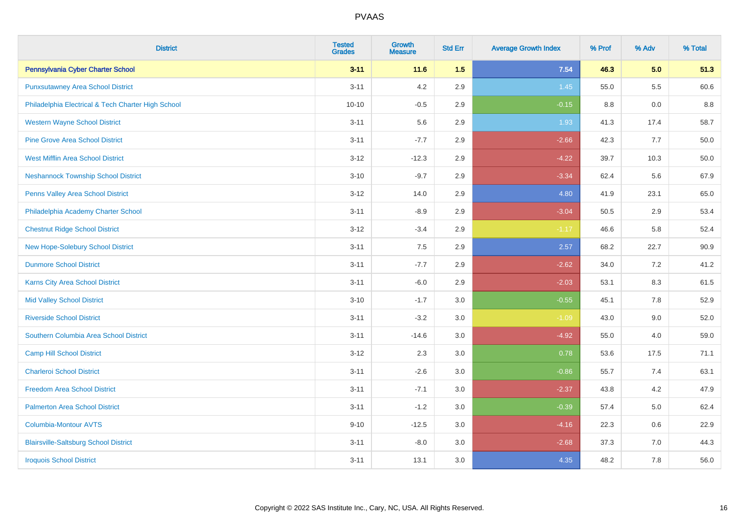| <b>District</b>                                    | <b>Tested</b><br><b>Grades</b> | <b>Growth</b><br><b>Measure</b> | <b>Std Err</b> | <b>Average Growth Index</b> | % Prof | % Adv   | % Total |
|----------------------------------------------------|--------------------------------|---------------------------------|----------------|-----------------------------|--------|---------|---------|
| Pennsylvania Cyber Charter School                  | $3 - 11$                       | $11.6$                          | 1.5            | 7.54                        | 46.3   | 5.0     | 51.3    |
| <b>Punxsutawney Area School District</b>           | $3 - 11$                       | 4.2                             | 2.9            | 1.45                        | 55.0   | $5.5\,$ | 60.6    |
| Philadelphia Electrical & Tech Charter High School | $10 - 10$                      | $-0.5$                          | 2.9            | $-0.15$                     | 8.8    | 0.0     | 8.8     |
| <b>Western Wayne School District</b>               | $3 - 11$                       | 5.6                             | 2.9            | 1.93                        | 41.3   | 17.4    | 58.7    |
| <b>Pine Grove Area School District</b>             | $3 - 11$                       | $-7.7$                          | 2.9            | $-2.66$                     | 42.3   | 7.7     | 50.0    |
| <b>West Mifflin Area School District</b>           | $3 - 12$                       | $-12.3$                         | 2.9            | $-4.22$                     | 39.7   | 10.3    | 50.0    |
| <b>Neshannock Township School District</b>         | $3 - 10$                       | $-9.7$                          | 2.9            | $-3.34$                     | 62.4   | 5.6     | 67.9    |
| <b>Penns Valley Area School District</b>           | $3 - 12$                       | 14.0                            | 2.9            | 4.80                        | 41.9   | 23.1    | 65.0    |
| Philadelphia Academy Charter School                | $3 - 11$                       | $-8.9$                          | 2.9            | $-3.04$                     | 50.5   | 2.9     | 53.4    |
| <b>Chestnut Ridge School District</b>              | $3 - 12$                       | $-3.4$                          | 2.9            | $-1.17$                     | 46.6   | 5.8     | 52.4    |
| New Hope-Solebury School District                  | $3 - 11$                       | 7.5                             | 2.9            | 2.57                        | 68.2   | 22.7    | 90.9    |
| <b>Dunmore School District</b>                     | $3 - 11$                       | $-7.7$                          | 2.9            | $-2.62$                     | 34.0   | 7.2     | 41.2    |
| Karns City Area School District                    | $3 - 11$                       | $-6.0$                          | 2.9            | $-2.03$                     | 53.1   | $8.3\,$ | 61.5    |
| <b>Mid Valley School District</b>                  | $3 - 10$                       | $-1.7$                          | $3.0\,$        | $-0.55$                     | 45.1   | $7.8\,$ | 52.9    |
| <b>Riverside School District</b>                   | $3 - 11$                       | $-3.2$                          | 3.0            | $-1.09$                     | 43.0   | 9.0     | 52.0    |
| Southern Columbia Area School District             | $3 - 11$                       | $-14.6$                         | 3.0            | $-4.92$                     | 55.0   | 4.0     | 59.0    |
| <b>Camp Hill School District</b>                   | $3 - 12$                       | 2.3                             | 3.0            | 0.78                        | 53.6   | 17.5    | 71.1    |
| <b>Charleroi School District</b>                   | $3 - 11$                       | $-2.6$                          | 3.0            | $-0.86$                     | 55.7   | 7.4     | 63.1    |
| <b>Freedom Area School District</b>                | $3 - 11$                       | $-7.1$                          | 3.0            | $-2.37$                     | 43.8   | 4.2     | 47.9    |
| <b>Palmerton Area School District</b>              | $3 - 11$                       | $-1.2$                          | $3.0\,$        | $-0.39$                     | 57.4   | 5.0     | 62.4    |
| <b>Columbia-Montour AVTS</b>                       | $9 - 10$                       | $-12.5$                         | 3.0            | $-4.16$                     | 22.3   | 0.6     | 22.9    |
| <b>Blairsville-Saltsburg School District</b>       | $3 - 11$                       | $-8.0$                          | 3.0            | $-2.68$                     | 37.3   | 7.0     | 44.3    |
| <b>Iroquois School District</b>                    | $3 - 11$                       | 13.1                            | 3.0            | 4.35                        | 48.2   | 7.8     | 56.0    |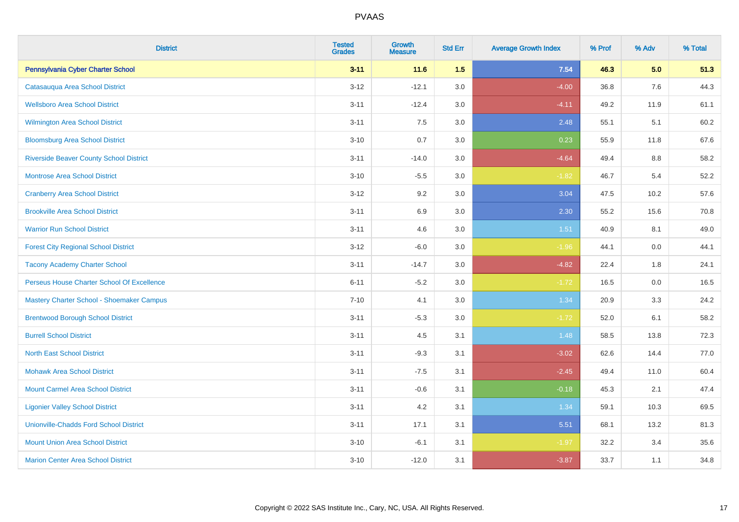| <b>District</b>                                | <b>Tested</b><br><b>Grades</b> | <b>Growth</b><br><b>Measure</b> | <b>Std Err</b> | <b>Average Growth Index</b> | % Prof | % Adv | % Total |
|------------------------------------------------|--------------------------------|---------------------------------|----------------|-----------------------------|--------|-------|---------|
| Pennsylvania Cyber Charter School              | $3 - 11$                       | 11.6                            | 1.5            | 7.54                        | 46.3   | 5.0   | 51.3    |
| Catasauqua Area School District                | $3 - 12$                       | $-12.1$                         | 3.0            | $-4.00$                     | 36.8   | 7.6   | 44.3    |
| <b>Wellsboro Area School District</b>          | $3 - 11$                       | $-12.4$                         | 3.0            | $-4.11$                     | 49.2   | 11.9  | 61.1    |
| <b>Wilmington Area School District</b>         | $3 - 11$                       | 7.5                             | 3.0            | 2.48                        | 55.1   | 5.1   | 60.2    |
| <b>Bloomsburg Area School District</b>         | $3 - 10$                       | 0.7                             | 3.0            | 0.23                        | 55.9   | 11.8  | 67.6    |
| <b>Riverside Beaver County School District</b> | $3 - 11$                       | $-14.0$                         | 3.0            | $-4.64$                     | 49.4   | 8.8   | 58.2    |
| <b>Montrose Area School District</b>           | $3 - 10$                       | $-5.5$                          | 3.0            | $-1.82$                     | 46.7   | 5.4   | 52.2    |
| <b>Cranberry Area School District</b>          | $3 - 12$                       | 9.2                             | 3.0            | 3.04                        | 47.5   | 10.2  | 57.6    |
| <b>Brookville Area School District</b>         | $3 - 11$                       | 6.9                             | 3.0            | 2.30                        | 55.2   | 15.6  | 70.8    |
| <b>Warrior Run School District</b>             | $3 - 11$                       | 4.6                             | 3.0            | 1.51                        | 40.9   | 8.1   | 49.0    |
| <b>Forest City Regional School District</b>    | $3 - 12$                       | $-6.0$                          | 3.0            | $-1.96$                     | 44.1   | 0.0   | 44.1    |
| <b>Tacony Academy Charter School</b>           | $3 - 11$                       | $-14.7$                         | 3.0            | $-4.82$                     | 22.4   | 1.8   | 24.1    |
| Perseus House Charter School Of Excellence     | $6 - 11$                       | $-5.2$                          | 3.0            | $-1.72$                     | 16.5   | 0.0   | 16.5    |
| Mastery Charter School - Shoemaker Campus      | $7 - 10$                       | 4.1                             | 3.0            | 1.34                        | 20.9   | 3.3   | 24.2    |
| <b>Brentwood Borough School District</b>       | $3 - 11$                       | $-5.3$                          | 3.0            | $-1.72$                     | 52.0   | 6.1   | 58.2    |
| <b>Burrell School District</b>                 | $3 - 11$                       | 4.5                             | 3.1            | 1.48                        | 58.5   | 13.8  | 72.3    |
| <b>North East School District</b>              | $3 - 11$                       | $-9.3$                          | 3.1            | $-3.02$                     | 62.6   | 14.4  | 77.0    |
| <b>Mohawk Area School District</b>             | $3 - 11$                       | $-7.5$                          | 3.1            | $-2.45$                     | 49.4   | 11.0  | 60.4    |
| <b>Mount Carmel Area School District</b>       | $3 - 11$                       | $-0.6$                          | 3.1            | $-0.18$                     | 45.3   | 2.1   | 47.4    |
| <b>Ligonier Valley School District</b>         | $3 - 11$                       | 4.2                             | 3.1            | 1.34                        | 59.1   | 10.3  | 69.5    |
| <b>Unionville-Chadds Ford School District</b>  | $3 - 11$                       | 17.1                            | 3.1            | 5.51                        | 68.1   | 13.2  | 81.3    |
| <b>Mount Union Area School District</b>        | $3 - 10$                       | $-6.1$                          | 3.1            | $-1.97$                     | 32.2   | 3.4   | 35.6    |
| <b>Marion Center Area School District</b>      | $3 - 10$                       | $-12.0$                         | 3.1            | $-3.87$                     | 33.7   | 1.1   | 34.8    |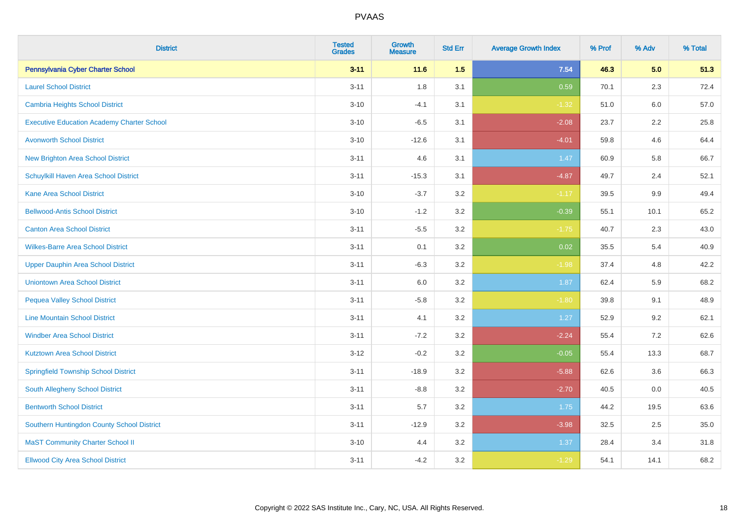| <b>District</b>                                   | <b>Tested</b><br><b>Grades</b> | <b>Growth</b><br><b>Measure</b> | <b>Std Err</b> | <b>Average Growth Index</b> | % Prof | % Adv | % Total |
|---------------------------------------------------|--------------------------------|---------------------------------|----------------|-----------------------------|--------|-------|---------|
| Pennsylvania Cyber Charter School                 | $3 - 11$                       | $11.6$                          | 1.5            | 7.54                        | 46.3   | 5.0   | 51.3    |
| <b>Laurel School District</b>                     | $3 - 11$                       | 1.8                             | 3.1            | 0.59                        | 70.1   | 2.3   | 72.4    |
| <b>Cambria Heights School District</b>            | $3 - 10$                       | $-4.1$                          | 3.1            | $-1.32$                     | 51.0   | 6.0   | 57.0    |
| <b>Executive Education Academy Charter School</b> | $3 - 10$                       | $-6.5$                          | 3.1            | $-2.08$                     | 23.7   | 2.2   | 25.8    |
| <b>Avonworth School District</b>                  | $3 - 10$                       | $-12.6$                         | 3.1            | $-4.01$                     | 59.8   | 4.6   | 64.4    |
| <b>New Brighton Area School District</b>          | $3 - 11$                       | 4.6                             | 3.1            | 1.47                        | 60.9   | 5.8   | 66.7    |
| Schuylkill Haven Area School District             | $3 - 11$                       | $-15.3$                         | 3.1            | $-4.87$                     | 49.7   | 2.4   | 52.1    |
| <b>Kane Area School District</b>                  | $3 - 10$                       | $-3.7$                          | 3.2            | $-1.17$                     | 39.5   | 9.9   | 49.4    |
| <b>Bellwood-Antis School District</b>             | $3 - 10$                       | $-1.2$                          | 3.2            | $-0.39$                     | 55.1   | 10.1  | 65.2    |
| <b>Canton Area School District</b>                | $3 - 11$                       | $-5.5$                          | 3.2            | $-1.75$                     | 40.7   | 2.3   | 43.0    |
| <b>Wilkes-Barre Area School District</b>          | $3 - 11$                       | 0.1                             | 3.2            | 0.02                        | 35.5   | 5.4   | 40.9    |
| Upper Dauphin Area School District                | $3 - 11$                       | $-6.3$                          | 3.2            | $-1.98$                     | 37.4   | 4.8   | 42.2    |
| <b>Uniontown Area School District</b>             | $3 - 11$                       | $6.0\,$                         | 3.2            | 1.87                        | 62.4   | 5.9   | 68.2    |
| <b>Pequea Valley School District</b>              | $3 - 11$                       | $-5.8$                          | 3.2            | $-1.80$                     | 39.8   | 9.1   | 48.9    |
| <b>Line Mountain School District</b>              | $3 - 11$                       | 4.1                             | 3.2            | 1.27                        | 52.9   | 9.2   | 62.1    |
| <b>Windber Area School District</b>               | $3 - 11$                       | $-7.2$                          | 3.2            | $-2.24$                     | 55.4   | 7.2   | 62.6    |
| <b>Kutztown Area School District</b>              | $3 - 12$                       | $-0.2$                          | 3.2            | $-0.05$                     | 55.4   | 13.3  | 68.7    |
| <b>Springfield Township School District</b>       | $3 - 11$                       | $-18.9$                         | 3.2            | $-5.88$                     | 62.6   | 3.6   | 66.3    |
| South Allegheny School District                   | $3 - 11$                       | $-8.8$                          | 3.2            | $-2.70$                     | 40.5   | 0.0   | 40.5    |
| <b>Bentworth School District</b>                  | $3 - 11$                       | 5.7                             | 3.2            | 1.75                        | 44.2   | 19.5  | 63.6    |
| Southern Huntingdon County School District        | $3 - 11$                       | $-12.9$                         | 3.2            | $-3.98$                     | 32.5   | 2.5   | 35.0    |
| <b>MaST Community Charter School II</b>           | $3 - 10$                       | 4.4                             | 3.2            | 1.37                        | 28.4   | 3.4   | 31.8    |
| <b>Ellwood City Area School District</b>          | $3 - 11$                       | $-4.2$                          | 3.2            | $-1.29$                     | 54.1   | 14.1  | 68.2    |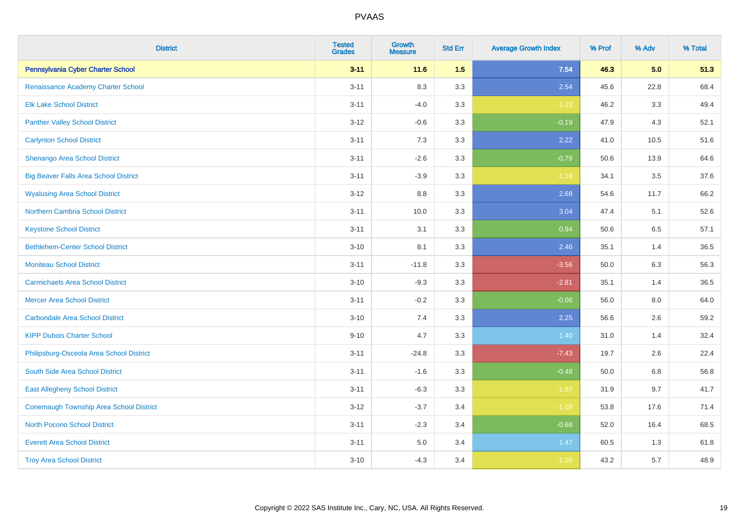| <b>District</b>                                | <b>Tested</b><br><b>Grades</b> | <b>Growth</b><br><b>Measure</b> | <b>Std Err</b> | <b>Average Growth Index</b> | % Prof | % Adv | % Total |
|------------------------------------------------|--------------------------------|---------------------------------|----------------|-----------------------------|--------|-------|---------|
| Pennsylvania Cyber Charter School              | $3 - 11$                       | 11.6                            | 1.5            | 7.54                        | 46.3   | 5.0   | 51.3    |
| Renaissance Academy Charter School             | $3 - 11$                       | 8.3                             | 3.3            | 2.54                        | 45.6   | 22.8  | 68.4    |
| <b>Elk Lake School District</b>                | $3 - 11$                       | $-4.0$                          | 3.3            | $-1.23$                     | 46.2   | 3.3   | 49.4    |
| <b>Panther Valley School District</b>          | $3 - 12$                       | $-0.6$                          | 3.3            | $-0.19$                     | 47.9   | 4.3   | 52.1    |
| <b>Carlynton School District</b>               | $3 - 11$                       | 7.3                             | 3.3            | 2.22                        | 41.0   | 10.5  | 51.6    |
| Shenango Area School District                  | $3 - 11$                       | $-2.6$                          | 3.3            | $-0.79$                     | 50.6   | 13.9  | 64.6    |
| <b>Big Beaver Falls Area School District</b>   | $3 - 11$                       | $-3.9$                          | 3.3            | $-1.18$                     | 34.1   | 3.5   | 37.6    |
| <b>Wyalusing Area School District</b>          | $3 - 12$                       | $8.8\,$                         | 3.3            | 2.68                        | 54.6   | 11.7  | 66.2    |
| <b>Northern Cambria School District</b>        | $3 - 11$                       | 10.0                            | 3.3            | 3.04                        | 47.4   | 5.1   | 52.6    |
| <b>Keystone School District</b>                | $3 - 11$                       | 3.1                             | 3.3            | 0.94                        | 50.6   | 6.5   | 57.1    |
| <b>Bethlehem-Center School District</b>        | $3 - 10$                       | 8.1                             | 3.3            | 2.46                        | 35.1   | 1.4   | 36.5    |
| <b>Moniteau School District</b>                | $3 - 11$                       | $-11.8$                         | 3.3            | $-3.56$                     | 50.0   | 6.3   | 56.3    |
| <b>Carmichaels Area School District</b>        | $3 - 10$                       | $-9.3$                          | 3.3            | $-2.81$                     | 35.1   | 1.4   | 36.5    |
| <b>Mercer Area School District</b>             | $3 - 11$                       | $-0.2$                          | 3.3            | $-0.06$                     | 56.0   | 8.0   | 64.0    |
| <b>Carbondale Area School District</b>         | $3 - 10$                       | 7.4                             | 3.3            | 2.25                        | 56.6   | 2.6   | 59.2    |
| <b>KIPP Dubois Charter School</b>              | $9 - 10$                       | 4.7                             | 3.3            | 1.40                        | 31.0   | 1.4   | 32.4    |
| Philipsburg-Osceola Area School District       | $3 - 11$                       | $-24.8$                         | 3.3            | $-7.43$                     | 19.7   | 2.6   | 22.4    |
| South Side Area School District                | $3 - 11$                       | $-1.6$                          | 3.3            | $-0.48$                     | 50.0   | 6.8   | 56.8    |
| <b>East Allegheny School District</b>          | $3 - 11$                       | $-6.3$                          | 3.3            | $-1.87$                     | 31.9   | 9.7   | 41.7    |
| <b>Conemaugh Township Area School District</b> | $3 - 12$                       | $-3.7$                          | 3.4            | $-1.09$                     | 53.8   | 17.6  | 71.4    |
| <b>North Pocono School District</b>            | $3 - 11$                       | $-2.3$                          | 3.4            | $-0.68$                     | 52.0   | 16.4  | 68.5    |
| <b>Everett Area School District</b>            | $3 - 11$                       | $5.0\,$                         | 3.4            | 1.47                        | 60.5   | 1.3   | 61.8    |
| <b>Troy Area School District</b>               | $3 - 10$                       | $-4.3$                          | 3.4            | $-1.26$                     | 43.2   | 5.7   | 48.9    |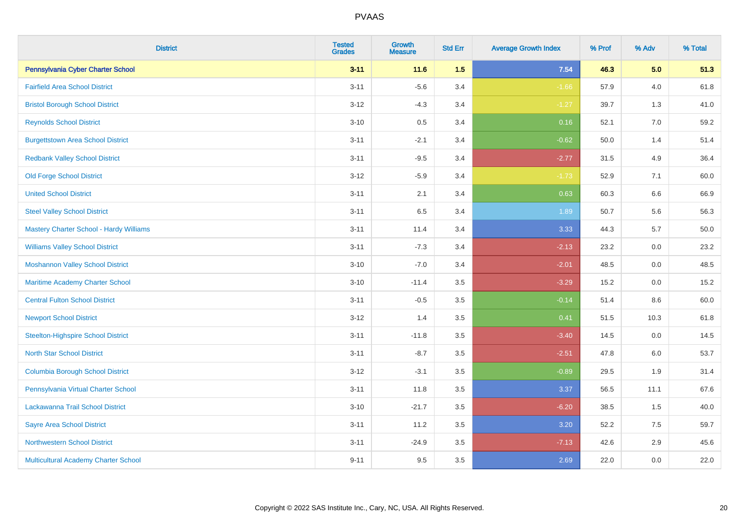| <b>District</b>                           | <b>Tested</b><br><b>Grades</b> | <b>Growth</b><br><b>Measure</b> | <b>Std Err</b> | <b>Average Growth Index</b> | % Prof | % Adv   | % Total  |
|-------------------------------------------|--------------------------------|---------------------------------|----------------|-----------------------------|--------|---------|----------|
| Pennsylvania Cyber Charter School         | $3 - 11$                       | $11.6$                          | 1.5            | 7.54                        | 46.3   | 5.0     | 51.3     |
| <b>Fairfield Area School District</b>     | $3 - 11$                       | $-5.6$                          | 3.4            | $-1.66$                     | 57.9   | 4.0     | 61.8     |
| <b>Bristol Borough School District</b>    | $3 - 12$                       | $-4.3$                          | 3.4            | $-1.27$                     | 39.7   | 1.3     | 41.0     |
| <b>Reynolds School District</b>           | $3 - 10$                       | 0.5                             | 3.4            | 0.16                        | 52.1   | 7.0     | 59.2     |
| <b>Burgettstown Area School District</b>  | $3 - 11$                       | $-2.1$                          | 3.4            | $-0.62$                     | 50.0   | 1.4     | 51.4     |
| <b>Redbank Valley School District</b>     | $3 - 11$                       | $-9.5$                          | 3.4            | $-2.77$                     | 31.5   | 4.9     | 36.4     |
| <b>Old Forge School District</b>          | $3 - 12$                       | $-5.9$                          | 3.4            | $-1.73$                     | 52.9   | 7.1     | 60.0     |
| <b>United School District</b>             | $3 - 11$                       | 2.1                             | 3.4            | 0.63                        | 60.3   | 6.6     | 66.9     |
| <b>Steel Valley School District</b>       | $3 - 11$                       | 6.5                             | 3.4            | 1.89                        | 50.7   | 5.6     | 56.3     |
| Mastery Charter School - Hardy Williams   | $3 - 11$                       | 11.4                            | 3.4            | 3.33                        | 44.3   | 5.7     | $50.0\,$ |
| <b>Williams Valley School District</b>    | $3 - 11$                       | $-7.3$                          | 3.4            | $-2.13$                     | 23.2   | 0.0     | 23.2     |
| <b>Moshannon Valley School District</b>   | $3 - 10$                       | $-7.0$                          | 3.4            | $-2.01$                     | 48.5   | 0.0     | 48.5     |
| Maritime Academy Charter School           | $3 - 10$                       | $-11.4$                         | 3.5            | $-3.29$                     | 15.2   | 0.0     | 15.2     |
| <b>Central Fulton School District</b>     | $3 - 11$                       | $-0.5$                          | 3.5            | $-0.14$                     | 51.4   | $8.6\,$ | 60.0     |
| <b>Newport School District</b>            | $3 - 12$                       | 1.4                             | 3.5            | 0.41                        | 51.5   | 10.3    | 61.8     |
| <b>Steelton-Highspire School District</b> | $3 - 11$                       | $-11.8$                         | 3.5            | $-3.40$                     | 14.5   | 0.0     | 14.5     |
| <b>North Star School District</b>         | $3 - 11$                       | $-8.7$                          | 3.5            | $-2.51$                     | 47.8   | 6.0     | 53.7     |
| <b>Columbia Borough School District</b>   | $3 - 12$                       | $-3.1$                          | 3.5            | $-0.89$                     | 29.5   | 1.9     | 31.4     |
| Pennsylvania Virtual Charter School       | $3 - 11$                       | 11.8                            | 3.5            | 3.37                        | 56.5   | 11.1    | 67.6     |
| Lackawanna Trail School District          | $3 - 10$                       | $-21.7$                         | 3.5            | $-6.20$                     | 38.5   | 1.5     | 40.0     |
| <b>Sayre Area School District</b>         | $3 - 11$                       | 11.2                            | 3.5            | 3.20                        | 52.2   | 7.5     | 59.7     |
| <b>Northwestern School District</b>       | $3 - 11$                       | $-24.9$                         | 3.5            | $-7.13$                     | 42.6   | 2.9     | 45.6     |
| Multicultural Academy Charter School      | $9 - 11$                       | 9.5                             | 3.5            | 2.69                        | 22.0   | 0.0     | 22.0     |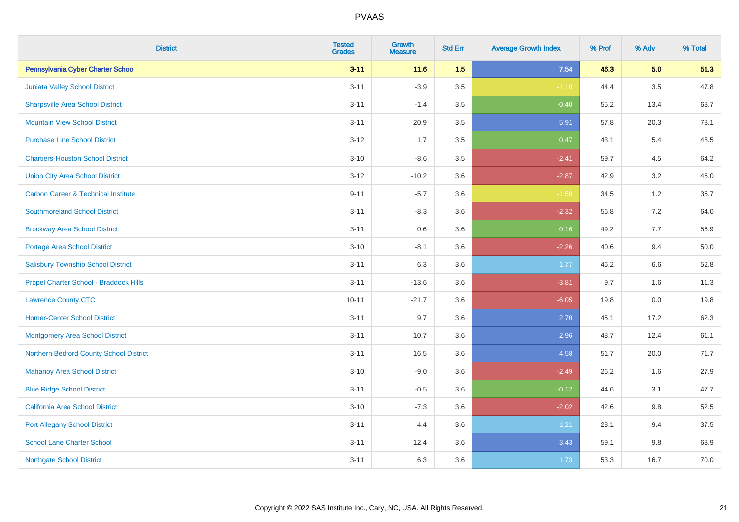| <b>District</b>                                | <b>Tested</b><br><b>Grades</b> | <b>Growth</b><br><b>Measure</b> | <b>Std Err</b> | <b>Average Growth Index</b> | % Prof | % Adv   | % Total |
|------------------------------------------------|--------------------------------|---------------------------------|----------------|-----------------------------|--------|---------|---------|
| Pennsylvania Cyber Charter School              | $3 - 11$                       | 11.6                            | 1.5            | 7.54                        | 46.3   | 5.0     | 51.3    |
| Juniata Valley School District                 | $3 - 11$                       | $-3.9$                          | 3.5            | $-1.10$                     | 44.4   | $3.5\,$ | 47.8    |
| <b>Sharpsville Area School District</b>        | $3 - 11$                       | $-1.4$                          | 3.5            | $-0.40$                     | 55.2   | 13.4    | 68.7    |
| <b>Mountain View School District</b>           | $3 - 11$                       | 20.9                            | 3.5            | 5.91                        | 57.8   | 20.3    | 78.1    |
| <b>Purchase Line School District</b>           | $3-12$                         | 1.7                             | 3.5            | 0.47                        | 43.1   | 5.4     | 48.5    |
| <b>Chartiers-Houston School District</b>       | $3 - 10$                       | $-8.6$                          | 3.5            | $-2.41$                     | 59.7   | 4.5     | 64.2    |
| <b>Union City Area School District</b>         | $3 - 12$                       | $-10.2$                         | 3.6            | $-2.87$                     | 42.9   | 3.2     | 46.0    |
| <b>Carbon Career &amp; Technical Institute</b> | $9 - 11$                       | $-5.7$                          | 3.6            | $-1.59$                     | 34.5   | 1.2     | 35.7    |
| <b>Southmoreland School District</b>           | $3 - 11$                       | $-8.3$                          | 3.6            | $-2.32$                     | 56.8   | 7.2     | 64.0    |
| <b>Brockway Area School District</b>           | $3 - 11$                       | 0.6                             | 3.6            | 0.16                        | 49.2   | 7.7     | 56.9    |
| Portage Area School District                   | $3 - 10$                       | $-8.1$                          | 3.6            | $-2.26$                     | 40.6   | 9.4     | 50.0    |
| <b>Salisbury Township School District</b>      | $3 - 11$                       | 6.3                             | 3.6            | 1.77                        | 46.2   | 6.6     | 52.8    |
| Propel Charter School - Braddock Hills         | $3 - 11$                       | $-13.6$                         | 3.6            | $-3.81$                     | 9.7    | 1.6     | 11.3    |
| <b>Lawrence County CTC</b>                     | $10 - 11$                      | $-21.7$                         | 3.6            | $-6.05$                     | 19.8   | $0.0\,$ | 19.8    |
| <b>Homer-Center School District</b>            | $3 - 11$                       | 9.7                             | 3.6            | 2.70                        | 45.1   | 17.2    | 62.3    |
| <b>Montgomery Area School District</b>         | $3 - 11$                       | 10.7                            | 3.6            | 2.96                        | 48.7   | 12.4    | 61.1    |
| Northern Bedford County School District        | $3 - 11$                       | 16.5                            | 3.6            | 4.58                        | 51.7   | 20.0    | 71.7    |
| <b>Mahanoy Area School District</b>            | $3 - 10$                       | $-9.0$                          | 3.6            | $-2.49$                     | 26.2   | 1.6     | 27.9    |
| <b>Blue Ridge School District</b>              | $3 - 11$                       | $-0.5$                          | 3.6            | $-0.12$                     | 44.6   | 3.1     | 47.7    |
| California Area School District                | $3 - 10$                       | $-7.3$                          | 3.6            | $-2.02$                     | 42.6   | 9.8     | 52.5    |
| <b>Port Allegany School District</b>           | $3 - 11$                       | 4.4                             | 3.6            | 1.21                        | 28.1   | 9.4     | 37.5    |
| <b>School Lane Charter School</b>              | $3 - 11$                       | 12.4                            | 3.6            | 3.43                        | 59.1   | 9.8     | 68.9    |
| <b>Northgate School District</b>               | $3 - 11$                       | 6.3                             | 3.6            | 1.73                        | 53.3   | 16.7    | 70.0    |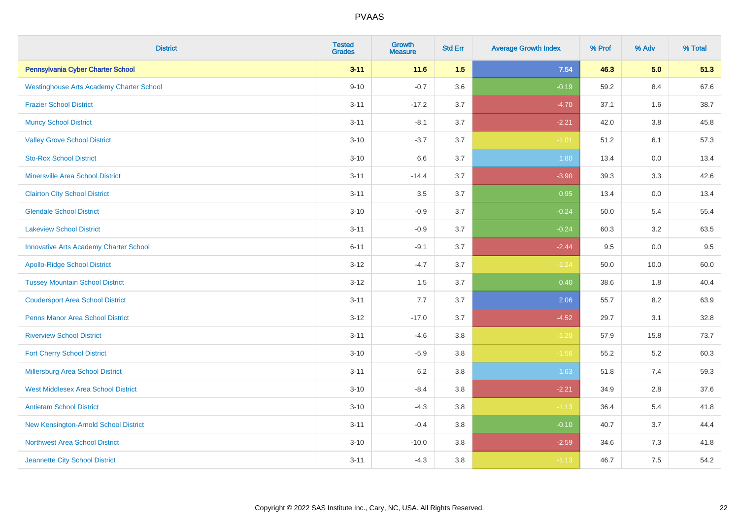| <b>District</b>                                 | <b>Tested</b><br><b>Grades</b> | <b>Growth</b><br><b>Measure</b> | <b>Std Err</b> | <b>Average Growth Index</b> | % Prof | % Adv   | % Total |
|-------------------------------------------------|--------------------------------|---------------------------------|----------------|-----------------------------|--------|---------|---------|
| Pennsylvania Cyber Charter School               | $3 - 11$                       | $11.6$                          | 1.5            | 7.54                        | 46.3   | 5.0     | 51.3    |
| <b>Westinghouse Arts Academy Charter School</b> | $9 - 10$                       | $-0.7$                          | 3.6            | $-0.19$                     | 59.2   | 8.4     | 67.6    |
| <b>Frazier School District</b>                  | $3 - 11$                       | $-17.2$                         | 3.7            | $-4.70$                     | 37.1   | 1.6     | 38.7    |
| <b>Muncy School District</b>                    | $3 - 11$                       | $-8.1$                          | 3.7            | $-2.21$                     | 42.0   | $3.8\,$ | 45.8    |
| <b>Valley Grove School District</b>             | $3 - 10$                       | $-3.7$                          | 3.7            | $-1.01$                     | 51.2   | 6.1     | 57.3    |
| <b>Sto-Rox School District</b>                  | $3 - 10$                       | 6.6                             | 3.7            | 1.80                        | 13.4   | 0.0     | 13.4    |
| <b>Minersville Area School District</b>         | $3 - 11$                       | $-14.4$                         | 3.7            | $-3.90$                     | 39.3   | 3.3     | 42.6    |
| <b>Clairton City School District</b>            | $3 - 11$                       | 3.5                             | 3.7            | 0.95                        | 13.4   | 0.0     | 13.4    |
| <b>Glendale School District</b>                 | $3 - 10$                       | $-0.9$                          | 3.7            | $-0.24$                     | 50.0   | 5.4     | 55.4    |
| <b>Lakeview School District</b>                 | $3 - 11$                       | $-0.9$                          | 3.7            | $-0.24$                     | 60.3   | $3.2\,$ | 63.5    |
| <b>Innovative Arts Academy Charter School</b>   | $6 - 11$                       | $-9.1$                          | 3.7            | $-2.44$                     | 9.5    | 0.0     | 9.5     |
| <b>Apollo-Ridge School District</b>             | $3 - 12$                       | $-4.7$                          | 3.7            | $-1.24$                     | 50.0   | 10.0    | 60.0    |
| <b>Tussey Mountain School District</b>          | $3 - 12$                       | 1.5                             | 3.7            | 0.40                        | 38.6   | 1.8     | 40.4    |
| <b>Coudersport Area School District</b>         | $3 - 11$                       | 7.7                             | 3.7            | 2.06                        | 55.7   | 8.2     | 63.9    |
| <b>Penns Manor Area School District</b>         | $3 - 12$                       | $-17.0$                         | 3.7            | $-4.52$                     | 29.7   | 3.1     | 32.8    |
| <b>Riverview School District</b>                | $3 - 11$                       | $-4.6$                          | 3.8            | $-1.20$                     | 57.9   | 15.8    | 73.7    |
| <b>Fort Cherry School District</b>              | $3 - 10$                       | $-5.9$                          | $3.8\,$        | $-1.56$                     | 55.2   | 5.2     | 60.3    |
| Millersburg Area School District                | $3 - 11$                       | 6.2                             | 3.8            | 1.63                        | 51.8   | 7.4     | 59.3    |
| <b>West Middlesex Area School District</b>      | $3 - 10$                       | $-8.4$                          | $3.8\,$        | $-2.21$                     | 34.9   | 2.8     | 37.6    |
| <b>Antietam School District</b>                 | $3 - 10$                       | $-4.3$                          | 3.8            | $-1.13$                     | 36.4   | 5.4     | 41.8    |
| New Kensington-Arnold School District           | $3 - 11$                       | $-0.4$                          | 3.8            | $-0.10$                     | 40.7   | 3.7     | 44.4    |
| Northwest Area School District                  | $3 - 10$                       | $-10.0$                         | 3.8            | $-2.59$                     | 34.6   | 7.3     | 41.8    |
| Jeannette City School District                  | $3 - 11$                       | $-4.3$                          | 3.8            | $-1.13$                     | 46.7   | 7.5     | 54.2    |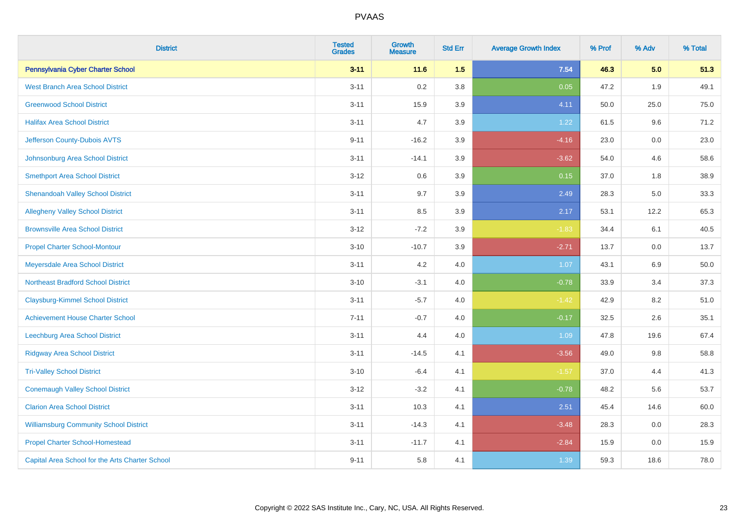| <b>District</b>                                 | <b>Tested</b><br><b>Grades</b> | <b>Growth</b><br><b>Measure</b> | <b>Std Err</b> | <b>Average Growth Index</b> | % Prof | % Adv | % Total |
|-------------------------------------------------|--------------------------------|---------------------------------|----------------|-----------------------------|--------|-------|---------|
| Pennsylvania Cyber Charter School               | $3 - 11$                       | 11.6                            | 1.5            | 7.54                        | 46.3   | 5.0   | 51.3    |
| <b>West Branch Area School District</b>         | $3 - 11$                       | 0.2                             | 3.8            | 0.05                        | 47.2   | 1.9   | 49.1    |
| <b>Greenwood School District</b>                | $3 - 11$                       | 15.9                            | 3.9            | 4.11                        | 50.0   | 25.0  | 75.0    |
| <b>Halifax Area School District</b>             | $3 - 11$                       | 4.7                             | 3.9            | 1.22                        | 61.5   | 9.6   | 71.2    |
| Jefferson County-Dubois AVTS                    | $9 - 11$                       | $-16.2$                         | 3.9            | $-4.16$                     | 23.0   | 0.0   | 23.0    |
| Johnsonburg Area School District                | $3 - 11$                       | $-14.1$                         | 3.9            | $-3.62$                     | 54.0   | 4.6   | 58.6    |
| <b>Smethport Area School District</b>           | $3 - 12$                       | 0.6                             | 3.9            | 0.15                        | 37.0   | 1.8   | 38.9    |
| <b>Shenandoah Valley School District</b>        | $3 - 11$                       | 9.7                             | 3.9            | 2.49                        | 28.3   | 5.0   | 33.3    |
| <b>Allegheny Valley School District</b>         | $3 - 11$                       | 8.5                             | 3.9            | 2.17                        | 53.1   | 12.2  | 65.3    |
| <b>Brownsville Area School District</b>         | $3 - 12$                       | $-7.2$                          | 3.9            | $-1.83$                     | 34.4   | 6.1   | 40.5    |
| <b>Propel Charter School-Montour</b>            | $3 - 10$                       | $-10.7$                         | 3.9            | $-2.71$                     | 13.7   | 0.0   | 13.7    |
| Meyersdale Area School District                 | $3 - 11$                       | 4.2                             | 4.0            | 1.07                        | 43.1   | 6.9   | 50.0    |
| <b>Northeast Bradford School District</b>       | $3 - 10$                       | $-3.1$                          | 4.0            | $-0.78$                     | 33.9   | 3.4   | 37.3    |
| <b>Claysburg-Kimmel School District</b>         | $3 - 11$                       | $-5.7$                          | 4.0            | $-1.42$                     | 42.9   | 8.2   | 51.0    |
| <b>Achievement House Charter School</b>         | $7 - 11$                       | $-0.7$                          | 4.0            | $-0.17$                     | 32.5   | 2.6   | 35.1    |
| <b>Leechburg Area School District</b>           | $3 - 11$                       | 4.4                             | 4.0            | 1.09                        | 47.8   | 19.6  | 67.4    |
| <b>Ridgway Area School District</b>             | $3 - 11$                       | $-14.5$                         | 4.1            | $-3.56$                     | 49.0   | 9.8   | 58.8    |
| <b>Tri-Valley School District</b>               | $3 - 10$                       | $-6.4$                          | 4.1            | $-1.57$                     | 37.0   | 4.4   | 41.3    |
| <b>Conemaugh Valley School District</b>         | $3 - 12$                       | $-3.2$                          | 4.1            | $-0.78$                     | 48.2   | 5.6   | 53.7    |
| <b>Clarion Area School District</b>             | $3 - 11$                       | 10.3                            | 4.1            | 2.51                        | 45.4   | 14.6  | 60.0    |
| <b>Williamsburg Community School District</b>   | $3 - 11$                       | $-14.3$                         | 4.1            | $-3.48$                     | 28.3   | 0.0   | 28.3    |
| <b>Propel Charter School-Homestead</b>          | $3 - 11$                       | $-11.7$                         | 4.1            | $-2.84$                     | 15.9   | 0.0   | 15.9    |
| Capital Area School for the Arts Charter School | $9 - 11$                       | 5.8                             | 4.1            | 1.39                        | 59.3   | 18.6  | 78.0    |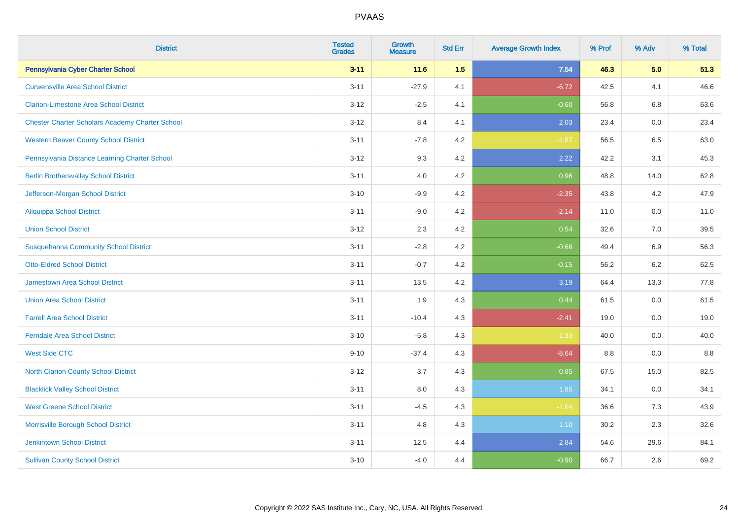| <b>District</b>                                        | <b>Tested</b><br><b>Grades</b> | <b>Growth</b><br><b>Measure</b> | <b>Std Err</b> | <b>Average Growth Index</b> | % Prof | % Adv   | % Total |
|--------------------------------------------------------|--------------------------------|---------------------------------|----------------|-----------------------------|--------|---------|---------|
| Pennsylvania Cyber Charter School                      | $3 - 11$                       | 11.6                            | 1.5            | 7.54                        | 46.3   | 5.0     | 51.3    |
| <b>Curwensville Area School District</b>               | $3 - 11$                       | $-27.9$                         | 4.1            | $-6.72$                     | 42.5   | 4.1     | 46.6    |
| <b>Clarion-Limestone Area School District</b>          | $3 - 12$                       | $-2.5$                          | 4.1            | $-0.60$                     | 56.8   | 6.8     | 63.6    |
| <b>Chester Charter Scholars Academy Charter School</b> | $3 - 12$                       | 8.4                             | 4.1            | 2.03                        | 23.4   | $0.0\,$ | 23.4    |
| <b>Western Beaver County School District</b>           | $3 - 11$                       | $-7.8$                          | 4.2            | $-1.87$                     | 56.5   | 6.5     | 63.0    |
| Pennsylvania Distance Learning Charter School          | $3 - 12$                       | 9.3                             | 4.2            | 2.22                        | 42.2   | 3.1     | 45.3    |
| <b>Berlin Brothersvalley School District</b>           | $3 - 11$                       | 4.0                             | 4.2            | 0.96                        | 48.8   | 14.0    | 62.8    |
| Jefferson-Morgan School District                       | $3 - 10$                       | $-9.9$                          | 4.2            | $-2.35$                     | 43.8   | 4.2     | 47.9    |
| <b>Aliquippa School District</b>                       | $3 - 11$                       | $-9.0$                          | 4.2            | $-2.14$                     | 11.0   | 0.0     | 11.0    |
| <b>Union School District</b>                           | $3 - 12$                       | 2.3                             | 4.2            | 0.54                        | 32.6   | 7.0     | 39.5    |
| <b>Susquehanna Community School District</b>           | $3 - 11$                       | $-2.8$                          | 4.2            | $-0.66$                     | 49.4   | 6.9     | 56.3    |
| <b>Otto-Eldred School District</b>                     | $3 - 11$                       | $-0.7$                          | 4.2            | $-0.15$                     | 56.2   | 6.2     | 62.5    |
| <b>Jamestown Area School District</b>                  | $3 - 11$                       | 13.5                            | 4.2            | 3.19                        | 64.4   | 13.3    | 77.8    |
| <b>Union Area School District</b>                      | $3 - 11$                       | 1.9                             | 4.3            | 0.44                        | 61.5   | 0.0     | 61.5    |
| <b>Farrell Area School District</b>                    | $3 - 11$                       | $-10.4$                         | 4.3            | $-2.41$                     | 19.0   | 0.0     | 19.0    |
| <b>Ferndale Area School District</b>                   | $3 - 10$                       | $-5.8$                          | 4.3            | $-1.33$                     | 40.0   | 0.0     | 40.0    |
| <b>West Side CTC</b>                                   | $9 - 10$                       | $-37.4$                         | 4.3            | $-8.64$                     | 8.8    | $0.0\,$ | 8.8     |
| North Clarion County School District                   | $3 - 12$                       | 3.7                             | 4.3            | 0.85                        | 67.5   | 15.0    | 82.5    |
| <b>Blacklick Valley School District</b>                | $3 - 11$                       | $8.0\,$                         | 4.3            | 1.85                        | 34.1   | $0.0\,$ | 34.1    |
| <b>West Greene School District</b>                     | $3 - 11$                       | $-4.5$                          | 4.3            | $-1.04$                     | 36.6   | 7.3     | 43.9    |
| Morrisville Borough School District                    | $3 - 11$                       | 4.8                             | 4.3            | 1.10                        | 30.2   | 2.3     | 32.6    |
| <b>Jenkintown School District</b>                      | $3 - 11$                       | 12.5                            | 4.4            | 2.84                        | 54.6   | 29.6    | 84.1    |
| <b>Sullivan County School District</b>                 | $3 - 10$                       | $-4.0$                          | 4.4            | $-0.90$                     | 66.7   | 2.6     | 69.2    |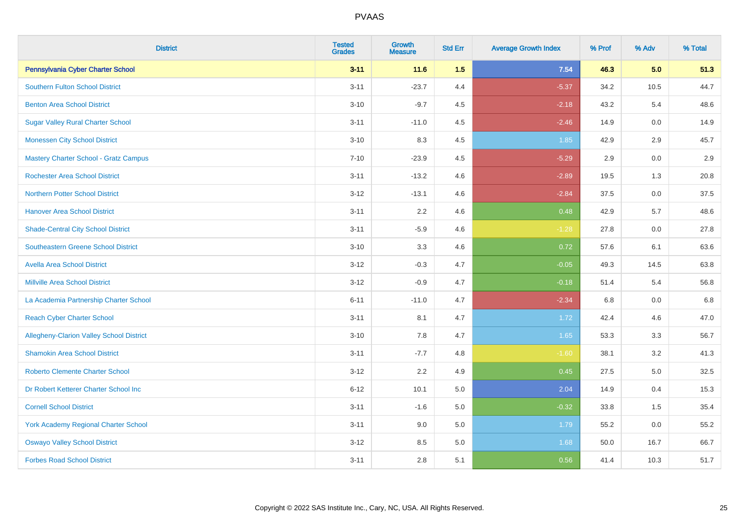| <b>District</b>                             | <b>Tested</b><br><b>Grades</b> | Growth<br><b>Measure</b> | <b>Std Err</b> | <b>Average Growth Index</b> | % Prof | % Adv   | % Total |
|---------------------------------------------|--------------------------------|--------------------------|----------------|-----------------------------|--------|---------|---------|
| Pennsylvania Cyber Charter School           | $3 - 11$                       | 11.6                     | 1.5            | 7.54                        | 46.3   | 5.0     | 51.3    |
| <b>Southern Fulton School District</b>      | $3 - 11$                       | $-23.7$                  | 4.4            | $-5.37$                     | 34.2   | 10.5    | 44.7    |
| <b>Benton Area School District</b>          | $3 - 10$                       | $-9.7$                   | 4.5            | $-2.18$                     | 43.2   | 5.4     | 48.6    |
| <b>Sugar Valley Rural Charter School</b>    | $3 - 11$                       | $-11.0$                  | 4.5            | $-2.46$                     | 14.9   | 0.0     | 14.9    |
| <b>Monessen City School District</b>        | $3 - 10$                       | 8.3                      | 4.5            | 1.85                        | 42.9   | 2.9     | 45.7    |
| Mastery Charter School - Gratz Campus       | $7 - 10$                       | $-23.9$                  | 4.5            | $-5.29$                     | 2.9    | $0.0\,$ | 2.9     |
| <b>Rochester Area School District</b>       | $3 - 11$                       | $-13.2$                  | 4.6            | $-2.89$                     | 19.5   | 1.3     | 20.8    |
| <b>Northern Potter School District</b>      | $3 - 12$                       | $-13.1$                  | 4.6            | $-2.84$                     | 37.5   | 0.0     | 37.5    |
| <b>Hanover Area School District</b>         | $3 - 11$                       | 2.2                      | 4.6            | 0.48                        | 42.9   | 5.7     | 48.6    |
| <b>Shade-Central City School District</b>   | $3 - 11$                       | $-5.9$                   | 4.6            | $-1.28$                     | 27.8   | 0.0     | 27.8    |
| <b>Southeastern Greene School District</b>  | $3 - 10$                       | 3.3                      | 4.6            | 0.72                        | 57.6   | 6.1     | 63.6    |
| <b>Avella Area School District</b>          | $3 - 12$                       | $-0.3$                   | 4.7            | $-0.05$                     | 49.3   | 14.5    | 63.8    |
| <b>Millville Area School District</b>       | $3 - 12$                       | $-0.9$                   | 4.7            | $-0.18$                     | 51.4   | 5.4     | 56.8    |
| La Academia Partnership Charter School      | $6 - 11$                       | $-11.0$                  | 4.7            | $-2.34$                     | 6.8    | 0.0     | 6.8     |
| <b>Reach Cyber Charter School</b>           | $3 - 11$                       | 8.1                      | 4.7            | 1.72                        | 42.4   | 4.6     | 47.0    |
| Allegheny-Clarion Valley School District    | $3 - 10$                       | 7.8                      | 4.7            | 1.65                        | 53.3   | 3.3     | 56.7    |
| <b>Shamokin Area School District</b>        | $3 - 11$                       | $-7.7$                   | 4.8            | $-1.60$                     | 38.1   | 3.2     | 41.3    |
| <b>Roberto Clemente Charter School</b>      | $3 - 12$                       | 2.2                      | 4.9            | 0.45                        | 27.5   | 5.0     | 32.5    |
| Dr Robert Ketterer Charter School Inc       | $6 - 12$                       | 10.1                     | 5.0            | 2.04                        | 14.9   | 0.4     | 15.3    |
| <b>Cornell School District</b>              | $3 - 11$                       | $-1.6$                   | 5.0            | $-0.32$                     | 33.8   | 1.5     | 35.4    |
| <b>York Academy Regional Charter School</b> | $3 - 11$                       | 9.0                      | 5.0            | 1.79                        | 55.2   | 0.0     | 55.2    |
| <b>Oswayo Valley School District</b>        | $3 - 12$                       | 8.5                      | $5.0\,$        | 1.68                        | 50.0   | 16.7    | 66.7    |
| <b>Forbes Road School District</b>          | $3 - 11$                       | 2.8                      | 5.1            | 0.56                        | 41.4   | 10.3    | 51.7    |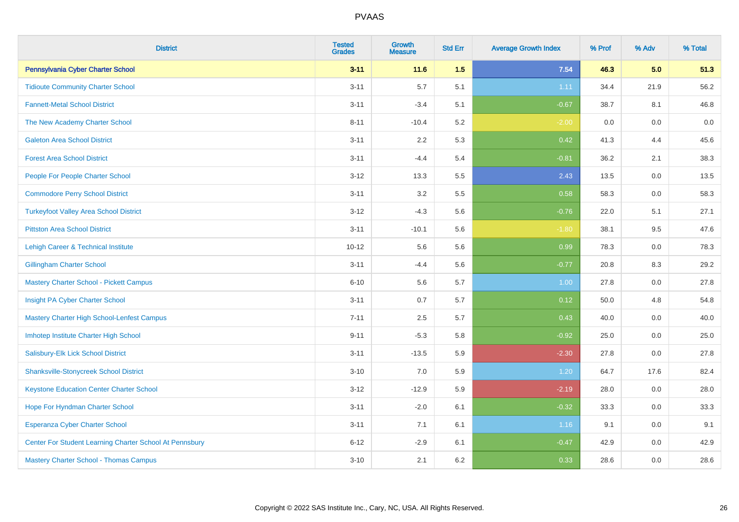| <b>District</b>                                         | <b>Tested</b><br><b>Grades</b> | <b>Growth</b><br><b>Measure</b> | <b>Std Err</b> | <b>Average Growth Index</b> | % Prof | % Adv   | % Total |
|---------------------------------------------------------|--------------------------------|---------------------------------|----------------|-----------------------------|--------|---------|---------|
| Pennsylvania Cyber Charter School                       | $3 - 11$                       | 11.6                            | 1.5            | 7.54                        | 46.3   | 5.0     | 51.3    |
| <b>Tidioute Community Charter School</b>                | $3 - 11$                       | 5.7                             | 5.1            | 1.11                        | 34.4   | 21.9    | 56.2    |
| <b>Fannett-Metal School District</b>                    | $3 - 11$                       | $-3.4$                          | 5.1            | $-0.67$                     | 38.7   | 8.1     | 46.8    |
| The New Academy Charter School                          | $8 - 11$                       | $-10.4$                         | 5.2            | $-2.00$                     | 0.0    | $0.0\,$ | $0.0\,$ |
| <b>Galeton Area School District</b>                     | $3 - 11$                       | 2.2                             | 5.3            | 0.42                        | 41.3   | 4.4     | 45.6    |
| <b>Forest Area School District</b>                      | $3 - 11$                       | $-4.4$                          | 5.4            | $-0.81$                     | 36.2   | 2.1     | 38.3    |
| People For People Charter School                        | $3 - 12$                       | 13.3                            | 5.5            | 2.43                        | 13.5   | 0.0     | 13.5    |
| <b>Commodore Perry School District</b>                  | $3 - 11$                       | 3.2                             | 5.5            | 0.58                        | 58.3   | 0.0     | 58.3    |
| <b>Turkeyfoot Valley Area School District</b>           | $3 - 12$                       | $-4.3$                          | 5.6            | $-0.76$                     | 22.0   | 5.1     | 27.1    |
| <b>Pittston Area School District</b>                    | $3 - 11$                       | $-10.1$                         | 5.6            | $-1.80$                     | 38.1   | 9.5     | 47.6    |
| Lehigh Career & Technical Institute                     | $10 - 12$                      | 5.6                             | 5.6            | 0.99                        | 78.3   | 0.0     | 78.3    |
| <b>Gillingham Charter School</b>                        | $3 - 11$                       | $-4.4$                          | 5.6            | $-0.77$                     | 20.8   | 8.3     | 29.2    |
| <b>Mastery Charter School - Pickett Campus</b>          | $6 - 10$                       | 5.6                             | 5.7            | 1.00                        | 27.8   | 0.0     | 27.8    |
| Insight PA Cyber Charter School                         | $3 - 11$                       | 0.7                             | 5.7            | 0.12                        | 50.0   | 4.8     | 54.8    |
| Mastery Charter High School-Lenfest Campus              | $7 - 11$                       | 2.5                             | 5.7            | 0.43                        | 40.0   | 0.0     | 40.0    |
| Imhotep Institute Charter High School                   | $9 - 11$                       | $-5.3$                          | 5.8            | $-0.92$                     | 25.0   | 0.0     | 25.0    |
| Salisbury-Elk Lick School District                      | $3 - 11$                       | $-13.5$                         | 5.9            | $-2.30$                     | 27.8   | 0.0     | 27.8    |
| <b>Shanksville-Stonycreek School District</b>           | $3 - 10$                       | 7.0                             | 5.9            | 1.20                        | 64.7   | 17.6    | 82.4    |
| <b>Keystone Education Center Charter School</b>         | $3 - 12$                       | $-12.9$                         | 5.9            | $-2.19$                     | 28.0   | 0.0     | 28.0    |
| Hope For Hyndman Charter School                         | $3 - 11$                       | $-2.0$                          | 6.1            | $-0.32$                     | 33.3   | 0.0     | 33.3    |
| Esperanza Cyber Charter School                          | $3 - 11$                       | 7.1                             | 6.1            | 1.16                        | 9.1    | 0.0     | 9.1     |
| Center For Student Learning Charter School At Pennsbury | $6 - 12$                       | $-2.9$                          | 6.1            | $-0.47$                     | 42.9   | 0.0     | 42.9    |
| <b>Mastery Charter School - Thomas Campus</b>           | $3 - 10$                       | 2.1                             | 6.2            | 0.33                        | 28.6   | 0.0     | 28.6    |